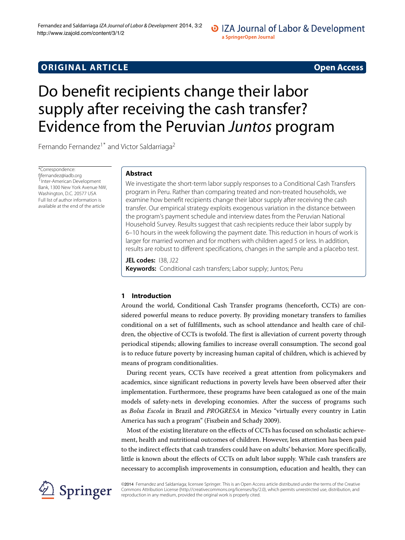# **ORIGINAL ARTICLE Open Access**

# Do benefit recipients change their labor supply after receiving the cash transfer? Evidence from the Peruvian *Juntos* program

Fernando Fernandez<sup>1\*</sup> and Victor Saldarriaga<sup>2</sup>

\*Correspondence: [fjfernandez@iadb.org](mailto:fjfernandez@iadb.org) <sup>1</sup>Inter-American Development Bank, 1300 New York Avenue NW, Washington, D.C. 20577 USA Full list of author information is available at the end of the article

# **Abstract**

We investigate the short-term labor supply responses to a Conditional Cash Transfers program in Peru. Rather than comparing treated and non-treated households, we examine how benefit recipients change their labor supply after receiving the cash transfer. Our empirical strategy exploits exogenous variation in the distance between the program's payment schedule and interview dates from the Peruvian National Household Survey. Results suggest that cash recipients reduce their labor supply by 6–10 hours in the week following the payment date. This reduction in hours of work is larger for married women and for mothers with children aged 5 or less. In addition, results are robust to different specifications, changes in the sample and a placebo test.

**JEL codes:** I38, J22 **Keywords:** Conditional cash transfers; Labor supply; Juntos; Peru

# **1 Introduction**

Around the world, Conditional Cash Transfer programs (henceforth, CCTs) are considered powerful means to reduce poverty. By providing monetary transfers to families conditional on a set of fulfillments, such as school attendance and health care of children, the objective of CCTs is twofold. The first is alleviation of current poverty through periodical stipends; allowing families to increase overall consumption. The second goal is to reduce future poverty by increasing human capital of children, which is achieved by means of program conditionalities.

During recent years, CCTs have received a great attention from policymakers and academics, since significant reductions in poverty levels have been observed after their implementation. Furthermore, these programs have been catalogued as one of the main models of safety-nets in developing economies. After the success of programs such as *Bolsa Escola* in Brazil and *PROGRESA* in Mexico "virtually every country in Latin America has such a program" (Fiszbein and Schady [2009\)](#page-28-0).

Most of the existing literature on the effects of CCTs has focused on scholastic achievement, health and nutritional outcomes of children. However, less attention has been paid to the indirect effects that cash transfers could have on adults' behavior. More specifically, little is known about the effects of CCTs on adult labor supply. While cash transfers are necessary to accomplish improvements in consumption, education and health, they can



©2014 Fernandez and Saldarriaga; licensee Springer. This is an Open Access article distributed under the terms of the Creative Commons Attribution License [\(http://creativecommons.org/licenses/by/2.0\)](http://creativecommons.org/licenses/by/2.0), which permits unrestricted use, distribution, and reproduction in any medium, provided the original work is properly cited.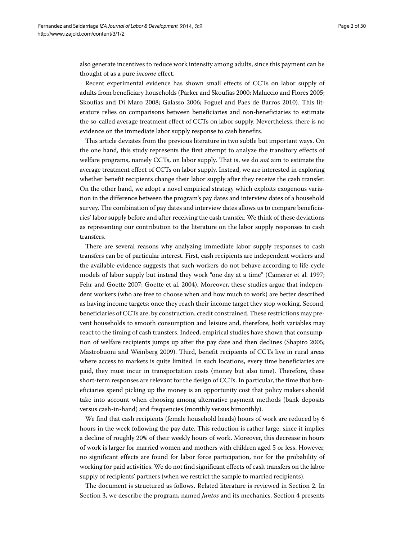also generate incentives to reduce work intensity among adults, since this payment can be thought of as a pure *income* effect.

Recent experimental evidence has shown small effects of CCTs on labor supply of adults from beneficiary households (Parker and Skoufias [2000;](#page-29-0) Maluccio and Flores [2005;](#page-29-1) Skoufias and Di Maro [2008;](#page-29-2) Galasso [2006;](#page-28-1) Foguel and Paes de Barros [2010\)](#page-28-2). This literature relies on comparisons between beneficiaries and non-beneficiaries to estimate the so-called average treatment effect of CCTs on labor supply. Nevertheless, there is no evidence on the immediate labor supply response to cash benefits.

This article deviates from the previous literature in two subtle but important ways. On the one hand, this study represents the first attempt to analyze the transitory effects of welfare programs, namely CCTs, on labor supply. That is, we do *not* aim to estimate the average treatment effect of CCTs on labor supply. Instead, we are interested in exploring whether benefit recipients change their labor supply after they receive the cash transfer. On the other hand, we adopt a novel empirical strategy which exploits exogenous variation in the difference between the program's pay dates and interview dates of a household survey. The combination of pay dates and interview dates allows us to compare beneficiaries' labor supply before and after receiving the cash transfer. We think of these deviations as representing our contribution to the literature on the labor supply responses to cash transfers.

There are several reasons why analyzing immediate labor supply responses to cash transfers can be of particular interest. First, cash recipients are independent workers and the available evidence suggests that such workers do not behave according to life-cycle models of labor supply but instead they work "one day at a time" (Camerer et al. [1997;](#page-28-3) Fehr and Goette [2007;](#page-28-4) Goette et al. [2004\)](#page-28-5). Moreover, these studies argue that independent workers (who are free to choose when and how much to work) are better described as having income targets: once they reach their income target they stop working. Second, beneficiaries of CCTs are, by construction, credit constrained. These restrictions may prevent households to smooth consumption and leisure and, therefore, both variables may react to the timing of cash transfers. Indeed, empirical studies have shown that consumption of welfare recipients jumps up after the pay date and then declines (Shapiro [2005;](#page-29-3) Mastrobuoni and Weinberg [2009\)](#page-29-4). Third, benefit recipients of CCTs live in rural areas where access to markets is quite limited. In such locations, every time beneficiaries are paid, they must incur in transportation costs (money but also time). Therefore, these short-term responses are relevant for the design of CCTs. In particular, the time that beneficiaries spend picking up the money is an opportunity cost that policy makers should take into account when choosing among alternative payment methods (bank deposits versus cash-in-hand) and frequencies (monthly versus bimonthly).

We find that cash recipients (female household heads) hours of work are reduced by 6 hours in the week following the pay date. This reduction is rather large, since it implies a decline of roughly 20% of their weekly hours of work. Moreover, this decrease in hours of work is larger for married women and mothers with children aged 5 or less. However, no significant effects are found for labor force participation, nor for the probability of working for paid activities. We do not find significant effects of cash transfers on the labor supply of recipients' partners (when we restrict the sample to married recipients).

The document is structured as follows. Related literature is reviewed in Section [2.](#page-2-0) In Section [3,](#page-5-0) we describe the program, named *Juntos* and its mechanics. Section [4](#page-7-0) presents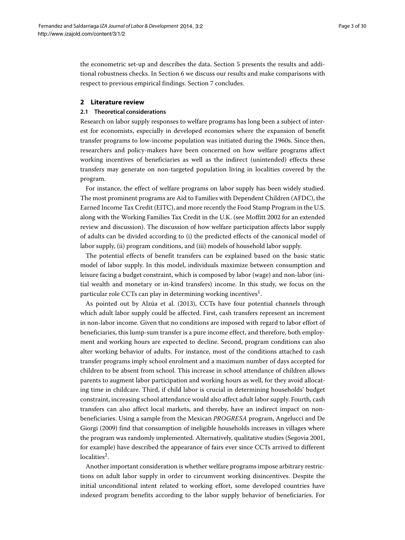the econometric set-up and describes the data. Section [5](#page-12-0) presents the results and additional robustness checks. In Section [6](#page-22-0) we discuss our results and make comparisons with respect to previous empirical findings. Section [7](#page-24-0) concludes.

#### <span id="page-2-0"></span>**2 Literature review**

#### **2.1 Theoretical considerations**

Research on labor supply responses to welfare programs has long been a subject of interest for economists, especially in developed economies where the expansion of benefit transfer programs to low-income population was initiated during the 1960s. Since then, researchers and policy-makers have been concerned on how welfare programs affect working incentives of beneficiaries as well as the indirect (unintended) effects these transfers may generate on non-targeted population living in localities covered by the program.

For instance, the effect of welfare programs on labor supply has been widely studied. The most prominent programs are Aid to Families with Dependent Children (AFDC), the Earned Income Tax Credit (EITC), and more recently the Food Stamp Program in the U.S. along with the Working Families Tax Credit in the U.K. (see Moffitt [2002](#page-29-5) for an extended review and discussion). The discussion of how welfare participation affects labor supply of adults can be divided according to (i) the predicted effects of the canonical model of labor supply, (ii) program conditions, and (iii) models of household labor supply.

The potential effects of benefit transfers can be explained based on the basic static model of labor supply. In this model, individuals maximize between consumption and leisure facing a budget constraint, which is composed by labor (wage) and non-labor (initial wealth and monetary or in-kind transfers) income. In this study, we focus on the particular role CCTs can play in determining working incentives<sup>1</sup>.

As pointed out by Alzúa et al. [\(2013\)](#page-28-6), CCTs have four potential channels through which adult labor supply could be affected. First, cash transfers represent an increment in non-labor income. Given that no conditions are imposed with regard to labor effort of beneficiaries, this lump-sum transfer is a pure income effect, and therefore, both employment and working hours are expected to decline. Second, program conditions can also alter working behavior of adults. For instance, most of the conditions attached to cash transfer programs imply school enrolment and a maximum number of days accepted for children to be absent from school. This increase in school attendance of children allows parents to augment labor participation and working hours as well, for they avoid allocating time in childcare. Third, if child labor is crucial in determining households' budget constraint, increasing school attendance would also affect adult labor supply. Fourth, cash transfers can also affect local markets, and thereby, have an indirect impact on nonbeneficiaries. Using a sample from the Mexican *PROGRESA* program, Angelucci and De Giorgi [\(2009\)](#page-28-7) find that consumption of ineligible households increases in villages where the program was randomly implemented. Alternatively, qualitative studies (Segovia [2001,](#page-29-6) for example) have described the appearance of fairs ever since CCTs arrived to different  $localities<sup>2</sup>$ .

Another important consideration is whether welfare programs impose arbitrary restrictions on adult labor supply in order to circumvent working disincentives. Despite the initial unconditional intent related to working effort, some developed countries have indexed program benefits according to the labor supply behavior of beneficiaries. For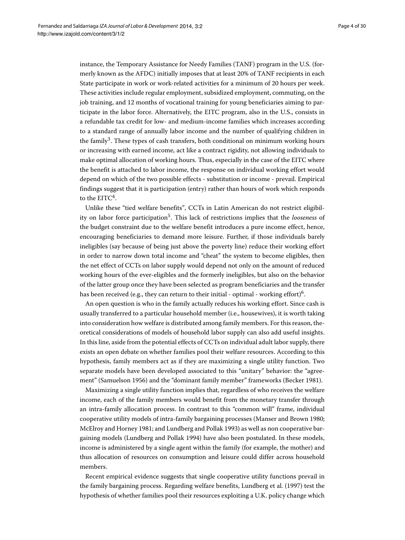instance, the Temporary Assistance for Needy Families (TANF) program in the U.S. (formerly known as the AFDC) initially imposes that at least 20% of TANF recipients in each State participate in work or work-related activities for a minimum of 20 hours per week. These activities include regular employment, subsidized employment, commuting, on the job training, and 12 months of vocational training for young beneficiaries aiming to participate in the labor force. Alternatively, the EITC program, also in the U.S., consists in a refundable tax credit for low- and medium-income families which increases according to a standard range of annually labor income and the number of qualifying children in the family<sup>3</sup>. These types of cash transfers, both conditional on minimum working hours or increasing with earned income, act like a contract rigidity, not allowing individuals to make optimal allocation of working hours. Thus, especially in the case of the EITC where the benefit is attached to labor income, the response on individual working effort would depend on which of the two possible effects - substitution or income - prevail. Empirical findings suggest that it is participation (entry) rather than hours of work which responds to the  $EITC<sup>4</sup>$ .

Unlike these "tied welfare benefits", CCTs in Latin American do not restrict eligibility on labor force participation5. This lack of restrictions implies that the *looseness* of the budget constraint due to the welfare benefit introduces a pure income effect, hence, encouraging beneficiaries to demand more leisure. Further, if those individuals barely ineligibles (say because of being just above the poverty line) reduce their working effort in order to narrow down total income and "cheat" the system to become eligibles, then the net effect of CCTs on labor supply would depend not only on the amount of reduced working hours of the ever-eligibles and the formerly ineligibles, but also on the behavior of the latter group once they have been selected as program beneficiaries and the transfer has been received (e.g., they can return to their initial - optimal - working effort)<sup>6</sup>.

An open question is who in the family actually reduces his working effort. Since cash is usually transferred to a particular household member (i.e., housewives), it is worth taking into consideration how welfare is distributed among family members. For this reason, theoretical considerations of models of household labor supply can also add useful insights. In this line, aside from the potential effects of CCTs on individual adult labor supply, there exists an open debate on whether families pool their welfare resources. According to this hypothesis, family members act as if they are maximizing a single utility function. Two separate models have been developed associated to this "unitary" behavior: the "agreement" (Samuelson [1956\)](#page-29-7) and the "dominant family member" frameworks (Becker [1981\)](#page-28-8).

Maximizing a single utility function implies that, regardless of who receives the welfare income, each of the family members would benefit from the monetary transfer through an intra-family allocation process. In contrast to this "common will" frame, individual cooperative utility models of intra-family bargaining processes (Manser and Brown [1980;](#page-29-8) McElroy and Horney [1981;](#page-29-9) and Lundberg and Pollak [1993\)](#page-28-9) as well as non cooperative bargaining models (Lundberg and Pollak [1994\)](#page-28-10) have also been postulated. In these models, income is administered by a single agent within the family (for example, the mother) and thus allocation of resources on consumption and leisure could differ across household members.

Recent empirical evidence suggests that single cooperative utility functions prevail in the family bargaining process. Regarding welfare benefits, Lundberg et al. [\(1997\)](#page-29-10) test the hypothesis of whether families pool their resources exploiting a U.K. policy change which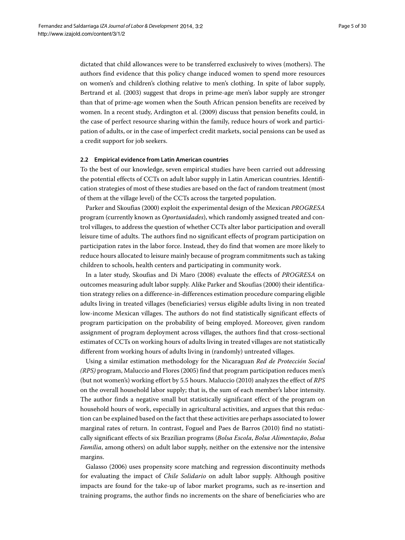dictated that child allowances were to be transferred exclusively to wives (mothers). The authors find evidence that this policy change induced women to spend more resources on women's and children's clothing relative to men's clothing. In spite of labor supply, Bertrand et al. [\(2003\)](#page-28-11) suggest that drops in prime-age men's labor supply are stronger than that of prime-age women when the South African pension benefits are received by women. In a recent study, Ardington et al. [\(2009\)](#page-28-12) discuss that pension benefits could, in the case of perfect resource sharing within the family, reduce hours of work and participation of adults, or in the case of imperfect credit markets, social pensions can be used as a credit support for job seekers.

#### **2.2 Empirical evidence from Latin American countries**

To the best of our knowledge, seven empirical studies have been carried out addressing the potential effects of CCTs on adult labor supply in Latin American countries. Identification strategies of most of these studies are based on the fact of random treatment (most of them at the village level) of the CCTs across the targeted population.

Parker and Skoufias [\(2000\)](#page-29-0) exploit the experimental design of the Mexican *PROGRESA* program (currently known as *Oportunidades*), which randomly assigned treated and control villages, to address the question of whether CCTs alter labor participation and overall leisure time of adults. The authors find no significant effects of program participation on participation rates in the labor force. Instead, they do find that women are more likely to reduce hours allocated to leisure mainly because of program commitments such as taking children to schools, health centers and participating in community work.

In a later study, Skoufias and Di Maro [\(2008\)](#page-29-2) evaluate the effects of *PROGRESA* on outcomes measuring adult labor supply. Alike Parker and Skoufias [\(2000\)](#page-29-0) their identification strategy relies on a difference-in-differences estimation procedure comparing eligible adults living in treated villages (beneficiaries) versus eligible adults living in non treated low-income Mexican villages. The authors do not find statistically significant effects of program participation on the probability of being employed. Moreover, given random assignment of program deployment across villages, the authors find that cross-sectional estimates of CCTs on working hours of adults living in treated villages are not statistically different from working hours of adults living in (randomly) untreated villages.

Using a similar estimation methodology for the Nicaraguan *Red de Protección Social (RPS)* program, Maluccio and Flores [\(2005\)](#page-29-1) find that program participation reduces men's (but not women's) working effort by 5.5 hours. Maluccio [\(2010\)](#page-29-11) analyzes the effect of *RPS* on the overall household labor supply; that is, the sum of each member's labor intensity. The author finds a negative small but statistically significant effect of the program on household hours of work, especially in agricultural activities, and argues that this reduction can be explained based on the fact that these activities are perhaps associated to lower marginal rates of return. In contrast, Foguel and Paes de Barros [\(2010\)](#page-28-2) find no statistically significant effects of six Brazilian programs (*Bolsa Escola*, *Bolsa Alimentação*, *Bolsa Família*, among others) on adult labor supply, neither on the extensive nor the intensive margins.

Galasso [\(2006\)](#page-28-1) uses propensity score matching and regression discontinuity methods for evaluating the impact of *Chile Solidario* on adult labor supply. Although positive impacts are found for the take-up of labor market programs, such as re-insertion and training programs, the author finds no increments on the share of beneficiaries who are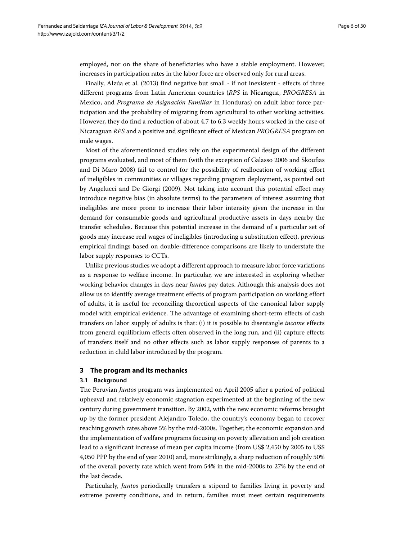employed, nor on the share of beneficiaries who have a stable employment. However, increases in participation rates in the labor force are observed only for rural areas.

Finally, Alzúa et al. [\(2013\)](#page-28-6) find negative but small - if not inexistent - effects of three different programs from Latin American countries (*RPS* in Nicaragua, *PROGRESA* in Mexico, and *Programa de Asignación Familiar* in Honduras) on adult labor force participation and the probability of migrating from agricultural to other working activities. However, they do find a reduction of about 4.7 to 6.3 weekly hours worked in the case of Nicaraguan *RPS* and a positive and significant effect of Mexican *PROGRESA* program on male wages.

Most of the aforementioned studies rely on the experimental design of the different programs evaluated, and most of them (with the exception of Galasso [2006](#page-28-1) and Skoufias and Di Maro [2008\)](#page-29-2) fail to control for the possibility of reallocation of working effort of ineligibles in communities or villages regarding program deployment, as pointed out by Angelucci and De Giorgi [\(2009\)](#page-28-7). Not taking into account this potential effect may introduce negative bias (in absolute terms) to the parameters of interest assuming that ineligibles are more prone to increase their labor intensity given the increase in the demand for consumable goods and agricultural productive assets in days nearby the transfer schedules. Because this potential increase in the demand of a particular set of goods may increase real wages of ineligibles (introducing a substitution effect), previous empirical findings based on double-difference comparisons are likely to understate the labor supply responses to CCTs.

Unlike previous studies we adopt a different approach to measure labor force variations as a response to welfare income. In particular, we are interested in exploring whether working behavior changes in days near *Juntos* pay dates. Although this analysis does not allow us to identify average treatment effects of program participation on working effort of adults, it is useful for reconciling theoretical aspects of the canonical labor supply model with empirical evidence. The advantage of examining short-term effects of cash transfers on labor supply of adults is that: (i) it is possible to disentangle *income* effects from general equilibrium effects often observed in the long run, and (ii) capture effects of transfers itself and no other effects such as labor supply responses of parents to a reduction in child labor introduced by the program.

#### <span id="page-5-0"></span>**3 The program and its mechanics**

#### **3.1 Background**

The Peruvian *Juntos* program was implemented on April 2005 after a period of political upheaval and relatively economic stagnation experimented at the beginning of the new century during government transition. By 2002, with the new economic reforms brought up by the former president Alejandro Toledo, the country's economy began to recover reaching growth rates above 5% by the mid-2000s. Together, the economic expansion and the implementation of welfare programs focusing on poverty alleviation and job creation lead to a significant increase of mean per capita income (from US\$ 2,450 by 2005 to US\$ 4,050 PPP by the end of year 2010) and, more strikingly, a sharp reduction of roughly 50% of the overall poverty rate which went from 54% in the mid-2000s to 27% by the end of the last decade.

Particularly, *Juntos* periodically transfers a stipend to families living in poverty and extreme poverty conditions, and in return, families must meet certain requirements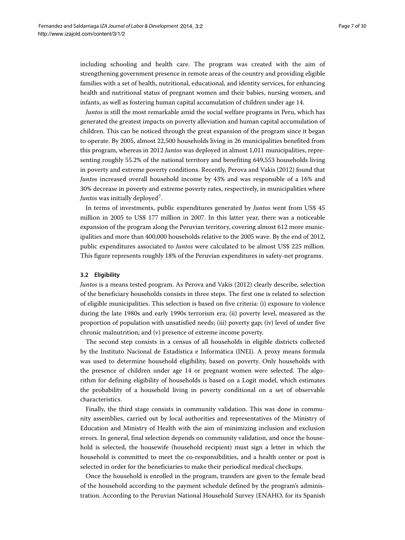including schooling and health care. The program was created with the aim of strengthening government presence in remote areas of the country and providing eligible families with a set of health, nutritional, educational, and identity services, for enhancing health and nutritional status of pregnant women and their babies, nursing women, and infants, as well as fostering human capital accumulation of children under age 14.

*Juntos* is still the most remarkable amid the social welfare programs in Peru, which has generated the greatest impacts on poverty alleviation and human capital accumulation of children. This can be noticed through the great expansion of the program since it began to operate. By 2005, almost 22,500 households living in 26 municipalities benefited from this program, whereas in 2012 *Juntos* was deployed in almost 1,011 municipalities, representing roughly 55.2% of the national territory and benefiting 649,553 households living in poverty and extreme poverty conditions. Recently, Perova and Vakis [\(2012\)](#page-29-12) found that *Juntos* increased overall household income by 43% and was responsible of a 16% and 30% decrease in poverty and extreme poverty rates, respectively, in municipalities where *Juntos* was initially deployed7.

In terms of investments, public expenditures generated by *Juntos* went from US\$ 45 million in 2005 to US\$ 177 million in 2007. In this latter year, there was a noticeable expansion of the program along the Peruvian territory, covering almost 612 more municipalities and more than 400,000 households relative to the 2005 wave. By the end of 2012, public expenditures associated to *Juntos* were calculated to be almost US\$ 225 million. This figure represents roughly 18% of the Peruvian expenditures in safety-net programs.

#### **3.2 Eligibility**

*Juntos* is a means tested program. As Perova and Vakis [\(2012\)](#page-29-12) clearly describe, selection of the beneficiary households consists in three steps. The first one is related to selection of eligible municipalities. This selection is based on five criteria: (i) exposure to violence during the late 1980s and early 1990s terrorism era; (ii) poverty level, measured as the proportion of population with unsatisfied needs; (iii) poverty gap; (iv) level of under five chronic malnutrition; and (v) presence of extreme income poverty.

The second step consists in a census of all households in eligible districts collected by the Instituto Nacional de Estadística e Informática (INEI). A proxy means formula was used to determine household eligibility, based on poverty. Only households with the presence of children under age 14 or pregnant women were selected. The algorithm for defining eligibility of households is based on a Logit model, which estimates the probability of a household living in poverty conditional on a set of observable characteristics.

Finally, the third stage consists in community validation. This was done in community assemblies, carried out by local authorities and representatives of the Ministry of Education and Ministry of Health with the aim of minimizing inclusion and exclusion errors. In general, final selection depends on community validation, and once the household is selected, the housewife (household recipient) must sign a letter in which the household is committed to meet the co-responsibilities, and a health center or post is selected in order for the beneficiaries to make their periodical medical checkups.

Once the household is enrolled in the program, transfers are given to the female head of the household according to the payment schedule defined by the program's administration. According to the Peruvian National Household Survey (ENAHO, for its Spanish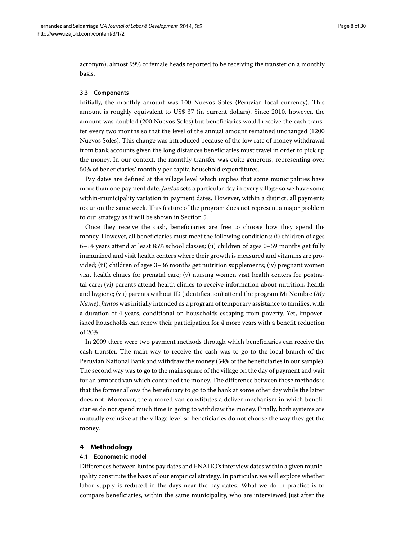acronym), almost 99% of female heads reported to be receiving the transfer on a monthly basis.

#### **3.3 Components**

Initially, the monthly amount was 100 Nuevos Soles (Peruvian local currency). This amount is roughly equivalent to US\$ 37 (in current dollars). Since 2010, however, the amount was doubled (200 Nuevos Soles) but beneficiaries would receive the cash transfer every two months so that the level of the annual amount remained unchanged (1200 Nuevos Soles). This change was introduced because of the low rate of money withdrawal from bank accounts given the long distances beneficiaries must travel in order to pick up the money. In our context, the monthly transfer was quite generous, representing over 50% of beneficiaries' monthly per capita household expenditures.

Pay dates are defined at the village level which implies that some municipalities have more than one payment date. *Juntos* sets a particular day in every village so we have some within-municipality variation in payment dates. However, within a district, all payments occur on the same week. This feature of the program does not represent a major problem to our strategy as it will be shown in Section [5.](#page-12-0)

Once they receive the cash, beneficiaries are free to choose how they spend the money. However, all beneficiaries must meet the following conditions: (i) children of ages 6–14 years attend at least 85% school classes; (ii) children of ages 0–59 months get fully immunized and visit health centers where their growth is measured and vitamins are provided; (iii) children of ages 3–36 months get nutrition supplements; (iv) pregnant women visit health clinics for prenatal care; (v) nursing women visit health centers for postnatal care; (vi) parents attend health clinics to receive information about nutrition, health and hygiene; (vii) parents without ID (identification) attend the program Mi Nombre (*My Name*). *Juntos* was initially intended as a program of temporary assistance to families, with a duration of 4 years, conditional on households escaping from poverty. Yet, impoverished households can renew their participation for 4 more years with a benefit reduction of 20%.

In 2009 there were two payment methods through which beneficiaries can receive the cash transfer. The main way to receive the cash was to go to the local branch of the Peruvian National Bank and withdraw the money (54% of the beneficiaries in our sample). The second way was to go to the main square of the village on the day of payment and wait for an armored van which contained the money. The difference between these methods is that the former allows the beneficiary to go to the bank at some other day while the latter does not. Moreover, the armored van constitutes a deliver mechanism in which beneficiaries do not spend much time in going to withdraw the money. Finally, both systems are mutually exclusive at the village level so beneficiaries do not choose the way they get the money.

#### <span id="page-7-1"></span><span id="page-7-0"></span>**4 Methodology**

#### **4.1 Econometric model**

Differences between Juntos pay dates and ENAHO's interview dates within a given municipality constitute the basis of our empirical strategy. In particular, we will explore whether labor supply is reduced in the days near the pay dates. What we do in practice is to compare beneficiaries, within the same municipality, who are interviewed just after the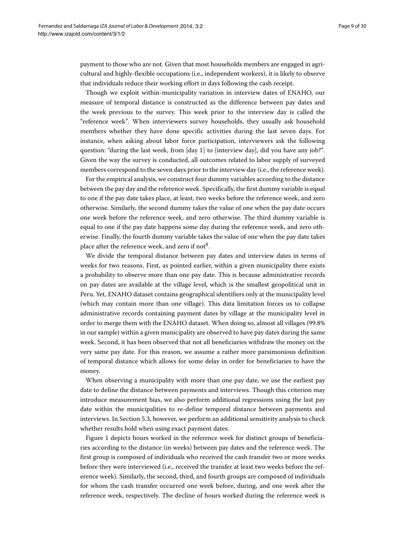payment to those who are not. Given that most households members are engaged in agricultural and highly-flexible occupations (i.e., independent workers), it is likely to observe that individuals reduce their working effort in days following the cash receipt.

Though we exploit within-municipality variation in interview dates of ENAHO, our measure of temporal distance is constructed as the difference between pay dates and the week previous to the survey. This week prior to the interview day is called the "reference week". When interviewers survey households, they usually ask household members whether they have done specific activities during the last seven days. For instance, when asking about labor force participation, interviewers ask the following question: "during the last week, from [day 1] to [interview day], did you have any job?". Given the way the survey is conducted, all outcomes related to labor supply of surveyed members correspond to the seven days prior to the interview day (i.e., the reference week).

For the empirical analysis, we construct four dummy variables according to the distance between the pay day and the reference week. Specifically, the first dummy variable is equal to one if the pay date takes place, at least, two weeks before the reference week, and zero otherwise. Similarly, the second dummy takes the value of one when the pay date occurs one week before the reference week, and zero otherwise. The third dummy variable is equal to one if the pay date happens some day during the reference week, and zero otherwise. Finally, the fourth dummy variable takes the value of one when the pay date takes place after the reference week, and zero if not<sup>8</sup>.

We divide the temporal distance between pay dates and interview dates in terms of weeks for two reasons. First, as pointed earlier, within a given municipality there exists a probability to observe more than one pay date. This is because administrative records on pay dates are available at the village level, which is the smallest geopolitical unit in Peru. Yet, ENAHO dataset contains geographical identifiers only at the municipality level (which may contain more than one village). This data limitation forces us to collapse administrative records containing payment dates by village at the municipality level in order to merge them with the ENAHO dataset. When doing so, almost all villages (99.8% in our sample) within a given municipality are observed to have pay dates during the same week. Second, it has been observed that not all beneficiaries withdraw the money on the very same pay date. For this reason, we assume a rather more parsimonious definition of temporal distance which allows for some delay in order for beneficiaries to have the money.

When observing a municipality with more than one pay date, we use the earliest pay date to define the distance between payments and interviews. Though this criterion may introduce measurement bias, we also perform additional regressions using the last pay date within the municipalities to re-define temporal distance between payments and interviews. In Section [5.3,](#page-17-0) however, we perform an additional sensitivity analysis to check whether results hold when using exact payment dates.

Figure [1](#page-9-0) depicts hours worked in the reference week for distinct groups of beneficiaries according to the distance (in weeks) between pay dates and the reference week. The first group is composed of individuals who received the cash transfer two or more weeks before they were interviewed (i.e., received the transfer at least two weeks before the reference week). Similarly, the second, third, and fourth groups are composed of individuals for whom the cash transfer occurred one week before, during, and one week after the reference week, respectively. The decline of hours worked during the reference week is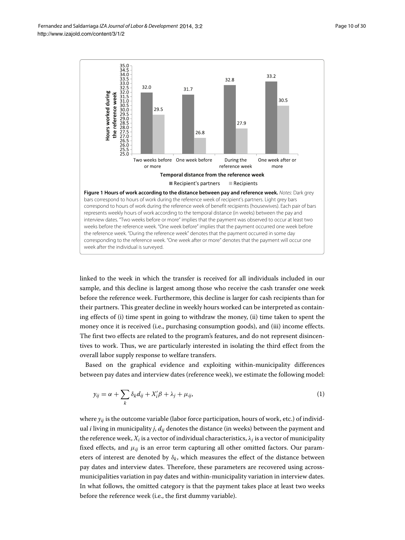Fernandez and Saldarriaga *IZA Journal of Labor & Development* Page 10 of 30 2014, 3:2 <http://www.izajold.com/content/3/1/2>



<span id="page-9-0"></span>linked to the week in which the transfer is received for all individuals included in our sample, and this decline is largest among those who receive the cash transfer one week before the reference week. Furthermore, this decline is larger for cash recipients than for their partners. This greater decline in weekly hours worked can be interpreted as containing effects of (i) time spent in going to withdraw the money, (ii) time taken to spent the money once it is received (i.e., purchasing consumption goods), and (iii) income effects. The first two effects are related to the program's features, and do not represent disincentives to work. Thus, we are particularly interested in isolating the third effect from the overall labor supply response to welfare transfers.

Based on the graphical evidence and exploiting within-municipality differences between pay dates and interview dates (reference week), we estimate the following model:

$$
y_{ij} = \alpha + \sum_{k} \delta_{k} d_{ij} + X_{i}' \beta + \lambda_{j} + \mu_{ij}, \qquad (1)
$$

where  $y_{ij}$  is the outcome variable (labor force participation, hours of work, etc.) of individual *i* living in municipality *j*, *dij* denotes the distance (in weeks) between the payment and the reference week,  $X_i$  is a vector of individual characteristics,  $\lambda_i$  is a vector of municipality fixed effects, and  $\mu_{ij}$  is an error term capturing all other omitted factors. Our parameters of interest are denoted by  $\delta_k$ , which measures the effect of the distance between pay dates and interview dates. Therefore, these parameters are recovered using acrossmunicipalities variation in pay dates and within-municipality variation in interview dates. In what follows, the omitted category is that the payment takes place at least two weeks before the reference week (i.e., the first dummy variable).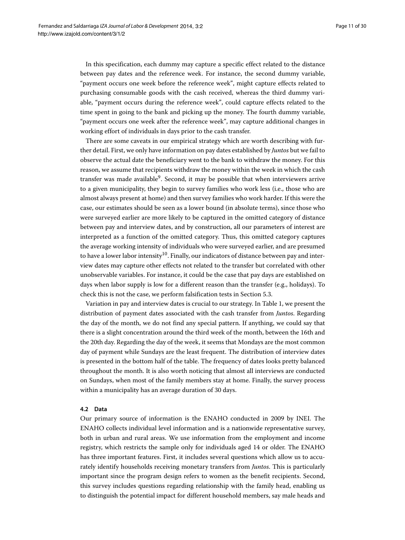In this specification, each dummy may capture a specific effect related to the distance between pay dates and the reference week. For instance, the second dummy variable, "payment occurs one week before the reference week", might capture effects related to purchasing consumable goods with the cash received, whereas the third dummy variable, "payment occurs during the reference week", could capture effects related to the time spent in going to the bank and picking up the money. The fourth dummy variable, "payment occurs one week after the reference week", may capture additional changes in working effort of individuals in days prior to the cash transfer.

There are some caveats in our empirical strategy which are worth describing with further detail. First, we only have information on pay dates established by *Juntos* but we fail to observe the actual date the beneficiary went to the bank to withdraw the money. For this reason, we assume that recipients withdraw the money within the week in which the cash transfer was made available $9$ . Second, it may be possible that when interviewers arrive to a given municipality, they begin to survey families who work less (i.e., those who are almost always present at home) and then survey families who work harder. If this were the case, our estimates should be seen as a lower bound (in absolute terms), since those who were surveyed earlier are more likely to be captured in the omitted category of distance between pay and interview dates, and by construction, all our parameters of interest are interpreted as a function of the omitted category. Thus, this omitted category captures the average working intensity of individuals who were surveyed earlier, and are presumed to have a lower labor intensity<sup>10</sup>. Finally, our indicators of distance between pay and interview dates may capture other effects not related to the transfer but correlated with other unobservable variables. For instance, it could be the case that pay days are established on days when labor supply is low for a different reason than the transfer (e.g., holidays). To check this is not the case, we perform falsification tests in Section [5.3.](#page-17-0)

Variation in pay and interview dates is crucial to our strategy. In Table [1,](#page-11-0) we present the distribution of payment dates associated with the cash transfer from *Juntos*. Regarding the day of the month, we do not find any special pattern. If anything, we could say that there is a slight concentration around the third week of the month, between the 16th and the 20th day. Regarding the day of the week, it seems that Mondays are the most common day of payment while Sundays are the least frequent. The distribution of interview dates is presented in the bottom half of the table. The frequency of dates looks pretty balanced throughout the month. It is also worth noticing that almost all interviews are conducted on Sundays, when most of the family members stay at home. Finally, the survey process within a municipality has an average duration of 30 days.

#### **4.2 Data**

Our primary source of information is the ENAHO conducted in 2009 by INEI. The ENAHO collects individual level information and is a nationwide representative survey, both in urban and rural areas. We use information from the employment and income registry, which restricts the sample only for individuals aged 14 or older. The ENAHO has three important features. First, it includes several questions which allow us to accurately identify households receiving monetary transfers from *Juntos*. This is particularly important since the program design refers to women as the benefit recipients. Second, this survey includes questions regarding relationship with the family head, enabling us to distinguish the potential impact for different household members, say male heads and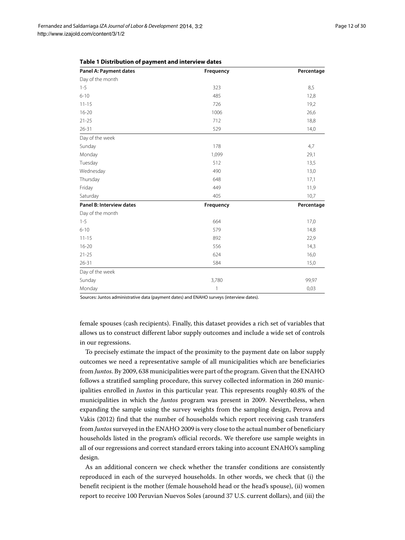<span id="page-11-0"></span>**Table 1 Distribution of payment and interview dates**

| Panel A: Payment dates          | Frequency | Percentage |
|---------------------------------|-----------|------------|
| Day of the month                |           |            |
| $1 - 5$                         | 323       | 8,5        |
| $6 - 10$                        | 485       | 12,8       |
| $11 - 15$                       | 726       | 19,2       |
| $16 - 20$                       | 1006      | 26,6       |
| $21 - 25$                       | 712       | 18,8       |
| $26 - 31$                       | 529       | 14,0       |
| Day of the week                 |           |            |
| Sunday                          | 178       | 4,7        |
| Monday                          | 1,099     | 29,1       |
| Tuesday                         | 512       | 13,5       |
| Wednesday                       | 490       | 13,0       |
| Thursday                        | 648       | 17,1       |
| Friday                          | 449       | 11,9       |
| Saturday                        | 405       | 10,7       |
| <b>Panel B: Interview dates</b> | Frequency | Percentage |
| Day of the month                |           |            |
| $1 - 5$                         | 664       | 17,0       |
| $6 - 10$                        | 579       | 14,8       |
| $11 - 15$                       | 892       | 22,9       |
| $16 - 20$                       | 556       | 14,3       |
| $21 - 25$                       | 624       | 16,0       |
| $26 - 31$                       | 584       | 15,0       |
| Day of the week                 |           |            |
| Sunday                          | 3,780     | 99,97      |
| Monday                          | 1         | 0,03       |

Sources: Juntos administrative data (payment dates) and ENAHO surveys (interview dates).

female spouses (cash recipients). Finally, this dataset provides a rich set of variables that allows us to construct different labor supply outcomes and include a wide set of controls in our regressions.

To precisely estimate the impact of the proximity to the payment date on labor supply outcomes we need a representative sample of all municipalities which are beneficiaries from *Juntos*. By 2009, 638 municipalities were part of the program. Given that the ENAHO follows a stratified sampling procedure, this survey collected information in 260 municipalities enrolled in *Juntos* in this particular year. This represents roughly 40.8% of the municipalities in which the *Juntos* program was present in 2009. Nevertheless, when expanding the sample using the survey weights from the sampling design, Perova and Vakis [\(2012\)](#page-29-12) find that the number of households which report receiving cash transfers from *Juntos*surveyed in the ENAHO 2009 is very close to the actual number of beneficiary households listed in the program's official records. We therefore use sample weights in all of our regressions and correct standard errors taking into account ENAHO's sampling design.

As an additional concern we check whether the transfer conditions are consistently reproduced in each of the surveyed households. In other words, we check that (i) the benefit recipient is the mother (female household head or the head's spouse), (ii) women report to receive 100 Peruvian Nuevos Soles (around 37 U.S. current dollars), and (iii) the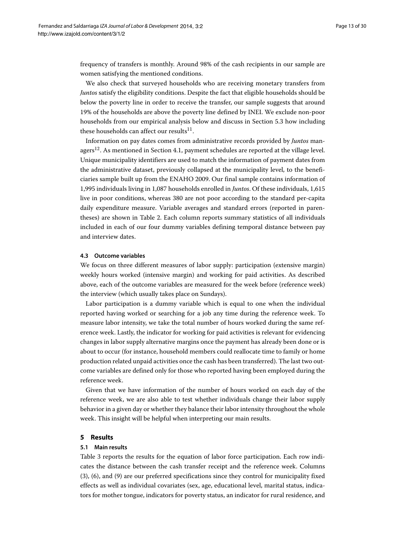frequency of transfers is monthly. Around 98% of the cash recipients in our sample are women satisfying the mentioned conditions.

We also check that surveyed households who are receiving monetary transfers from *Juntos* satisfy the eligibility conditions. Despite the fact that eligible households should be below the poverty line in order to receive the transfer, our sample suggests that around 19% of the households are above the poverty line defined by INEI. We exclude non-poor households from our empirical analysis below and discuss in Section [5.3](#page-17-0) how including these households can affect our results<sup>11</sup>.

Information on pay dates comes from administrative records provided by *Juntos* man-agers<sup>12</sup>. As mentioned in Section [4.1,](#page-7-1) payment schedules are reported at the village level. Unique municipality identifiers are used to match the information of payment dates from the administrative dataset, previously collapsed at the municipality level, to the beneficiaries sample built up from the ENAHO 2009. Our final sample contains information of 1,995 individuals living in 1,087 households enrolled in *Juntos*. Of these individuals, 1,615 live in poor conditions, whereas 380 are not poor according to the standard per-capita daily expenditure measure. Variable averages and standard errors (reported in parentheses) are shown in Table [2.](#page-13-0) Each column reports summary statistics of all individuals included in each of our four dummy variables defining temporal distance between pay and interview dates.

#### **4.3 Outcome variables**

We focus on three different measures of labor supply: participation (extensive margin) weekly hours worked (intensive margin) and working for paid activities. As described above, each of the outcome variables are measured for the week before (reference week) the interview (which usually takes place on Sundays).

Labor participation is a dummy variable which is equal to one when the individual reported having worked or searching for a job any time during the reference week. To measure labor intensity, we take the total number of hours worked during the same reference week. Lastly, the indicator for working for paid activities is relevant for evidencing changes in labor supply alternative margins once the payment has already been done or is about to occur (for instance, household members could reallocate time to family or home production related unpaid activities once the cash has been transferred). The last two outcome variables are defined only for those who reported having been employed during the reference week.

Given that we have information of the number of hours worked on each day of the reference week, we are also able to test whether individuals change their labor supply behavior in a given day or whether they balance their labor intensity throughout the whole week. This insight will be helpful when interpreting our main results.

#### <span id="page-12-0"></span>**5 Results**

#### **5.1 Main results**

Table [3](#page-14-0) reports the results for the equation of labor force participation. Each row indicates the distance between the cash transfer receipt and the reference week. Columns (3), (6), and (9) are our preferred specifications since they control for municipality fixed effects as well as individual covariates (sex, age, educational level, marital status, indicators for mother tongue, indicators for poverty status, an indicator for rural residence, and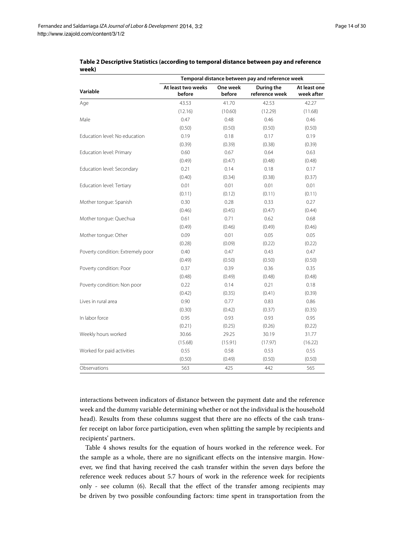|                                   |                              |                    | Temporal distance between pay and reference week |                            |
|-----------------------------------|------------------------------|--------------------|--------------------------------------------------|----------------------------|
| Variable                          | At least two weeks<br>before | One week<br>before | During the<br>reference week                     | At least one<br>week after |
| Age                               | 43.53                        | 41.70              | 42.53                                            | 42.27                      |
|                                   | (12.16)                      | (10.60)            | (12.29)                                          | (11.68)                    |
| Male                              | 0.47                         | 0.48               | 0.46                                             | 0.46                       |
|                                   | (0.50)                       | (0.50)             | (0.50)                                           | (0.50)                     |
| Education level: No education     | 0.19                         | 0.18               | 0.17                                             | 0.19                       |
|                                   | (0.39)                       | (0.39)             | (0.38)                                           | (0.39)                     |
| Education level: Primary          | 0.60                         | 0.67               | 0.64                                             | 0.63                       |
|                                   | (0.49)                       | (0.47)             | (0.48)                                           | (0.48)                     |
| Education level: Secondary        | 0.21                         | 0.14               | 0.18                                             | 0.17                       |
|                                   | (0.40)                       | (0.34)             | (0.38)                                           | (0.37)                     |
| Education level: Tertiary         | 0.01                         | 0.01               | 0.01                                             | 0.01                       |
|                                   | (0.11)                       | (0.12)             | (0.11)                                           | (0.11)                     |
| Mother tongue: Spanish            | 0.30                         | 0.28               | 0.33                                             | 0.27                       |
|                                   | (0.46)                       | (0.45)             | (0.47)                                           | (0.44)                     |
| Mother tongue: Quechua            | 0.61                         | 0.71               | 0.62                                             | 0.68                       |
|                                   | (0.49)                       | (0.46)             | (0.49)                                           | (0.46)                     |
| Mother tongue: Other              | 0.09                         | 0.01               | 0.05                                             | 0.05                       |
|                                   | (0.28)                       | (0.09)             | (0.22)                                           | (0.22)                     |
| Poverty condition: Extremely poor | 0.40                         | 0.47               | 0.43                                             | 0.47                       |
|                                   | (0.49)                       | (0.50)             | (0.50)                                           | (0.50)                     |
| Poverty condition: Poor           | 0.37                         | 0.39               | 0.36                                             | 0.35                       |
|                                   | (0.48)                       | (0.49)             | (0.48)                                           | (0.48)                     |
| Poverty condition: Non poor       | 0.22                         | 0.14               | 0.21                                             | 0.18                       |
|                                   | (0.42)                       | (0.35)             | (0.41)                                           | (0.39)                     |
| Lives in rural area               | 0.90                         | 0.77               | 0.83                                             | 0.86                       |
|                                   | (0.30)                       | (0.42)             | (0.37)                                           | (0.35)                     |
| In labor force                    | 0.95                         | 0.93               | 0.93                                             | 0.95                       |
|                                   | (0.21)                       | (0.25)             | (0.26)                                           | (0.22)                     |
| Weekly hours worked               | 30.66                        | 29.25              | 30.19                                            | 31.77                      |
|                                   | (15.68)                      | (15.91)            | (17.97)                                          | (16.22)                    |
| Worked for paid activities        | 0.55                         | 0.58               | 0.53                                             | 0.55                       |
|                                   | (0.50)                       | (0.49)             | (0.50)                                           | (0.50)                     |
| Observations                      | 563                          | 425                | 442                                              | 565                        |

#### <span id="page-13-0"></span>**Table 2 Descriptive Statistics (according to temporal distance between pay and reference week)**

interactions between indicators of distance between the payment date and the reference week and the dummy variable determining whether or not the individual is the household head). Results from these columns suggest that there are no effects of the cash transfer receipt on labor force participation, even when splitting the sample by recipients and recipients' partners.

Table [4](#page-14-1) shows results for the equation of hours worked in the reference week. For the sample as a whole, there are no significant effects on the intensive margin. However, we find that having received the cash transfer within the seven days before the reference week reduces about 5.7 hours of work in the reference week for recipients only - see column (6). Recall that the effect of the transfer among recipients may be driven by two possible confounding factors: time spent in transportation from the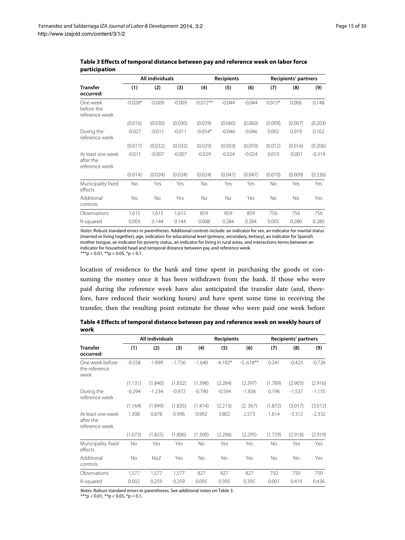|                                                  |           | <b>All individuals</b> |          |            | <b>Recipients</b> |          |          | Recipients' partners |          |  |
|--------------------------------------------------|-----------|------------------------|----------|------------|-------------------|----------|----------|----------------------|----------|--|
| <b>Transfer</b><br>occurred:                     | (1)       | (2)                    | (3)      | (4)        | (5)               | (6)      | (7)      | (8)                  | (9)      |  |
| One week<br>before the<br>reference week         | $-0.028*$ | $-0.009$               | $-0.009$ | $-0.072**$ | $-0.044$          | $-0.044$ | $0.015*$ | 0.006                | 0.148    |  |
|                                                  | (0.016)   | (0.030)                | (0.030)  | (0.029)    | (0.060)           | (0.060)  | (0.009)  | (0.007)              | (0.203)  |  |
| During the<br>reference week                     | $-0.027$  | $-0.011$               | $-0.011$ | $-0.054*$  | $-0.046$          | $-0.046$ | 0.002    | 0.019                | 0.162    |  |
|                                                  | (0.017)   | (0.032)                | (0.032)  | (0.029)    | (0.059)           | (0.059)  | (0.012)  | (0.016)              | (0.206)  |  |
| At least one week<br>after the<br>reference week | $-0.011$  | $-0.007$               | $-0.007$ | $-0.029$   | $-0.024$          | $-0.024$ | 0.010    | $-0.001$             | $-0.319$ |  |
|                                                  | (0.014)   | (0.024)                | (0.024)  | (0.024)    | (0.047)           | (0.047)  | (0.010)  | (0.009)              | (0.336)  |  |
| Municipality fixed<br>effects                    | No        | Yes                    | Yes      | <b>No</b>  | Yes               | Yes      | No       | Yes                  | Yes      |  |
| Additional<br>controls                           | No        | No.                    | Yes      | <b>No</b>  | <b>No</b>         | Yes      | No       | <b>No</b>            | Yes      |  |
| Observations                                     | 1,615     | 1,615                  | 1,615    | 859        | 859               | 859      | 756      | 756                  | 756      |  |
| R-squared                                        | 0.003     | 0.144                  | 0.144    | 0.008      | 0.284             | 0.284    | 0.005    | 0.280                | 0.280    |  |

<span id="page-14-0"></span>**Table 3 Effects of temporal distance between pay and reference week on labor force participation**

*Notes*: Robust standard errors in parentheses. Additional controls include: an indicator for sex, an indicator for marital status (married or living together), age, indicators for educational level (primary, secondary, tertiary), an indicator for Spanish mother tongue, an indicator for poverty status, an indicator for living in rural areas, and interactions terms between an indicator for household head and temporal distance between pay and reference week.

\*\*\*p < 0.01, \*\*p < 0.05, \*p < 0.1.

location of residence to the bank and time spent in purchasing the goods or consuming the money once it has been withdrawn from the bank. If those who were paid during the reference week have also anticipated the transfer date (and, therefore, have reduced their working hours) and have spent some time in receiving the transfer, then the resulting point estimate for those who were paid one week before

<span id="page-14-1"></span>**Table 4 Effects of temporal distance between pay and reference week on weekly hours of work**

|                                                  |          | All individuals |          |          | <b>Recipients</b> |            |         | Recipients' partners |          |  |
|--------------------------------------------------|----------|-----------------|----------|----------|-------------------|------------|---------|----------------------|----------|--|
| <b>Transfer</b><br>occurred:                     | (1)      | (2)             | (3)      | (4)      | (5)               | (6)        | (7)     | (8)                  | (9)      |  |
| One week before<br>the reference<br>week         | $-0.558$ | $-1.899$        | $-1.756$ | $-1.640$ | $-4.192*$         | $-5.618**$ | 0.241   | $-0.425$             | $-0.726$ |  |
|                                                  | (1.131)  | (1.840)         | (1.832)  | (1.398)  | (2.284)           | (2.397)    | (1.789) | (2.903)              | (2.916)  |  |
| During the<br>reference week                     | $-0.294$ | $-1.234$        | $-0.972$ | $-0.790$ | $-0.594$          | $-1.836$   | 0.196   | $-1.537$             | $-1.155$ |  |
|                                                  | (1.164)  | (1.849)         | (1.835)  | (1.414)  | (2.213)           | (2.367)    | (1.872) | (3.017)              | (3.012)  |  |
| At least one week<br>after the<br>reference week | 1.308    | 0.678           | 0.996    | 0.992    | 3.802             | 2.573      | 1.614   | $-3.312$             | $-2.332$ |  |
|                                                  | (1.073)  | (1.825)         | (1.806)  | (1.300)  | (2.206)           | (2.295)    | (1.729) | (2.918)              | (2.919)  |  |
| Municipality fixed<br>effects                    | No       | Yes             | Yes      | No       | Yes               | Yes        | No.     | Yes                  | Yes      |  |
| Additional<br>controls                           | No       | NoZ             | Yes      | No       | No.               | Yes        | No.     | No                   | Yes      |  |
| Observations                                     | 1,577    | 1,577           | 1,577    | 827      | 827               | 827        | 750     | 750                  | 750      |  |
| R-squared                                        | 0.002    | 0.259           | 0.259    | 0.005    | 0.395             | 0.395      | 0.001   | 0.419                | 0.436    |  |

*Notes*: Robust standard errors in parentheses. See additional notes on Table [3.](#page-14-0)

\*\*\*p < 0.01, \*\*p < 0.05, \*p < 0.1.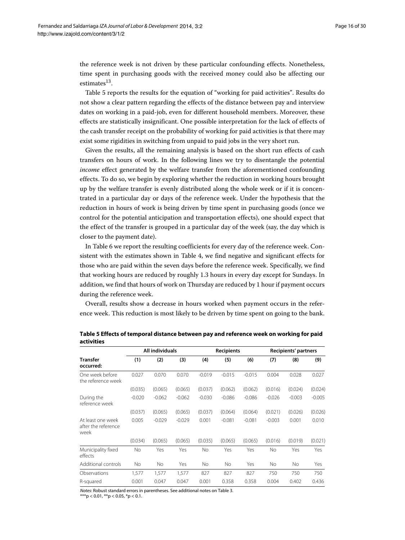the reference week is not driven by these particular confounding effects. Nonetheless, time spent in purchasing goods with the received money could also be affecting our estimates $^{13}$ .

Table [5](#page-15-0) reports the results for the equation of "working for paid activities". Results do not show a clear pattern regarding the effects of the distance between pay and interview dates on working in a paid-job, even for different household members. Moreover, these effects are statistically insignificant. One possible interpretation for the lack of effects of the cash transfer receipt on the probability of working for paid activities is that there may exist some rigidities in switching from unpaid to paid jobs in the very short run.

Given the results, all the remaining analysis is based on the short run effects of cash transfers on hours of work. In the following lines we try to disentangle the potential *income* effect generated by the welfare transfer from the aforementioned confounding effects. To do so, we begin by exploring whether the reduction in working hours brought up by the welfare transfer is evenly distributed along the whole week or if it is concentrated in a particular day or days of the reference week. Under the hypothesis that the reduction in hours of work is being driven by time spent in purchasing goods (once we control for the potential anticipation and transportation effects), one should expect that the effect of the transfer is grouped in a particular day of the week (say, the day which is closer to the payment date).

In Table [6](#page-16-0) we report the resulting coefficients for every day of the reference week. Consistent with the estimates shown in Table [4,](#page-14-1) we find negative and significant effects for those who are paid within the seven days before the reference week. Specifically, we find that working hours are reduced by roughly 1.3 hours in every day except for Sundays. In addition, we find that hours of work on Thursday are reduced by 1 hour if payment occurs during the reference week.

Overall, results show a decrease in hours worked when payment occurs in the reference week. This reduction is most likely to be driven by time spent on going to the bank.

|                                                  |          | All individuals |          |          | <b>Recipients</b> |          |           | Recipients' partners |          |  |
|--------------------------------------------------|----------|-----------------|----------|----------|-------------------|----------|-----------|----------------------|----------|--|
| Transfer<br>occurred:                            | (1)      | (2)             | (3)      | (4)      | (5)               | (6)      | (7)       | (8)                  | (9)      |  |
| One week before<br>the reference week            | 0.027    | 0.070           | 0.070    | $-0.019$ | $-0.015$          | $-0.015$ | 0.004     | 0.028                | 0.027    |  |
|                                                  | (0.035)  | (0.065)         | (0.065)  | (0.037)  | (0.062)           | (0.062)  | (0.016)   | (0.024)              | (0.024)  |  |
| During the<br>reference week                     | $-0.020$ | $-0.062$        | $-0.062$ | $-0.030$ | $-0.086$          | $-0.086$ | $-0.026$  | $-0.003$             | $-0.005$ |  |
|                                                  | (0.037)  | (0.065)         | (0.065)  | (0.037)  | (0.064)           | (0.064)  | (0.021)   | (0.026)              | (0.026)  |  |
| At least one week<br>after the reference<br>week | 0.005    | $-0.029$        | $-0.029$ | 0.001    | $-0.081$          | $-0.081$ | $-0.003$  | 0.001                | 0.010    |  |
|                                                  | (0.034)  | (0.065)         | (0.065)  | (0.035)  | (0.065)           | (0.065)  | (0.016)   | (0.019)              | (0.021)  |  |
| Municipality fixed<br>effects                    | No       | Yes             | Yes      | No       | Yes               | Yes      | No        | Yes                  | Yes      |  |
| Additional controls                              | No       | No              | Yes      | No       | <b>No</b>         | Yes      | <b>No</b> | <b>No</b>            | Yes      |  |
| Observations                                     | 1,577    | 1,577           | 1,577    | 827      | 827               | 827      | 750       | 750                  | 750      |  |
| R-squared                                        | 0.001    | 0.047           | 0.047    | 0.001    | 0.358             | 0.358    | 0.004     | 0.402                | 0.436    |  |
|                                                  |          |                 |          |          |                   |          |           |                      |          |  |

<span id="page-15-0"></span>**Table 5 Effects of temporal distance between pay and reference week on working for paid activities**

*Notes*: Robust standard errors in parentheses. See additional notes on Table [3.](#page-14-0)

\*\*\*p < 0.01, \*\*p < 0.05, \*p < 0.1.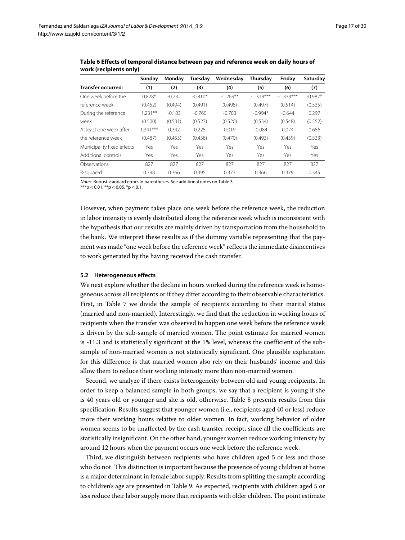|                            | Sunday     | Monday   | Tuesday   | Wednesday  | Thursday    | Friday      | Saturday  |
|----------------------------|------------|----------|-----------|------------|-------------|-------------|-----------|
| <b>Transfer occurred:</b>  | (1)        | (2)      | (3)       | (4)        | (5)         | (6)         | (7)       |
| One week before the        | $0.828*$   | $-0.732$ | $-0.810*$ | $-1.269**$ | $-1.319***$ | $-1.334***$ | $-0.982*$ |
| reference week             | (0.452)    | (0.494)  | (0.491)   | (0.498)    | (0.497)     | (0.514)     | (0.535)   |
| During the reference       | $1.231***$ | $-0.183$ | $-0.760$  | $-0.783$   | $-0.994*$   | $-0.644$    | 0.297     |
| week                       | (0.500)    | (0.531)  | (0.527)   | (0.520)    | (0.534)     | (0.548)     | (0.552)   |
| At least one week after    | $1.341***$ | 0.342    | 0.225     | 0.019      | $-0.084$    | 0.074       | 0.656     |
| the reference week         | (0.487)    | (0.453)  | (0.458)   | (0.470)    | (0.493)     | (0.459)     | (0.533)   |
| Municipality fixed effects | Yes        | Yes      | Yes       | Yes        | Yes         | Yes         | Yes       |
| Additional controls        | Yes        | Yes      | Yes       | Yes        | Yes         | Yes         | Yes       |
| Observations               | 827        | 827      | 827       | 827        | 827         | 827         | 827       |
| R-squared                  | 0.398      | 0.366    | 0.395     | 0.373      | 0.366       | 0.379       | 0.345     |

<span id="page-16-0"></span>**Table 6 Effects of temporal distance between pay and reference week on daily hours of work (recipients only)**

*Notes*: Robust standard errors in parentheses. See additional notes on Table [3.](#page-14-0)

\*\*\*p < 0.01, \*\*p < 0.05, \*p < 0.1.

However, when payment takes place one week before the reference week, the reduction in labor intensity is evenly distributed along the reference week which is inconsistent with the hypothesis that our results are mainly driven by transportation from the household to the bank. We interpret these results as if the dummy variable representing that the payment was made "one week before the reference week" reflects the immediate disincentives to work generated by the having received the cash transfer.

#### **5.2 Heterogeneous effects**

We next explore whether the decline in hours worked during the reference week is homogeneous across all recipients or if they differ according to their observable characteristics. First, in Table [7](#page-17-1) we divide the sample of recipients according to their marital status (married and non-married). Interestingly, we find that the reduction in working hours of recipients when the transfer was observed to happen one week before the reference week is driven by the sub-sample of married women. The point estimate for married women is -11.3 and is statistically significant at the 1% level, whereas the coefficient of the subsample of non-married women is not statistically significant. One plausible explanation for this difference is that married women also rely on their husbands' income and this allow them to reduce their working intensity more than non-married women.

Second, we analyze if there exists heterogeneity between old and young recipients. In order to keep a balanced sample in both groups, we say that a recipient is young if she is 40 years old or younger and she is old, otherwise. Table [8](#page-17-2) presents results from this specification. Results suggest that younger women (i.e., recipients aged 40 or less) reduce more their working hours relative to older women. In fact, working behavior of older women seems to be unaffected by the cash transfer receipt, since all the coefficients are statistically insignificant. On the other hand, younger women reduce working intensity by around 12 hours when the payment occurs one week before the reference week.

Third, we distinguish between recipients who have children aged 5 or less and those who do not. This distinction is important because the presence of young children at home is a major determinant in female labor supply. Results from splitting the sample according to children's age are presented in Table [9.](#page-18-0) As expected, recipients with children aged 5 or less reduce their labor supply more than recipients with older children. The point estimate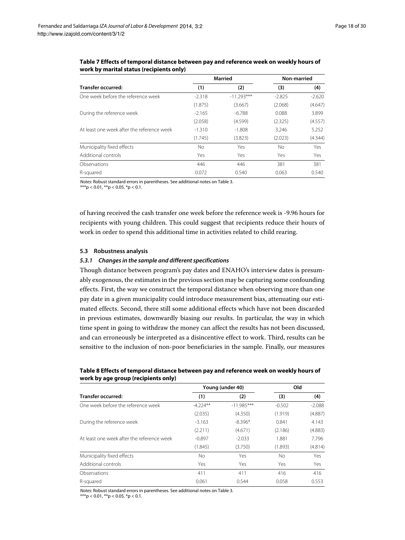|                                            |          | <b>Married</b> | Non-married |          |  |
|--------------------------------------------|----------|----------------|-------------|----------|--|
| <b>Transfer occurred:</b>                  | (1)      | (2)            | (3)         | (4)      |  |
| One week before the reference week         | $-2.318$ | $-11.293***$   | $-2.825$    | $-2.620$ |  |
|                                            | (1.875)  | (3.667)        | (2.068)     | (4.647)  |  |
| During the reference week                  | $-2.165$ | $-6.788$       | 0.088       | 3.899    |  |
|                                            | (2.058)  | (4.599)        | (2.325)     | (4.557)  |  |
| At least one week after the reference week | $-1.310$ | $-1.808$       | 3.246       | 5.252    |  |
|                                            | (1.745)  | (3.823)        | (2.023)     | (4.344)  |  |
| Municipality fixed effects                 | No       | Yes            | No.         | Yes      |  |
| Additional controls                        | Yes      | Yes            | Yes         | Yes      |  |
| Observations                               | 446      | 446            | 381         | 381      |  |
| R-squared                                  | 0.072    | 0.540          | 0.063       | 0.540    |  |

#### <span id="page-17-1"></span>**Table 7 Effects of temporal distance between pay and reference week on weekly hours of work by marital status (recipients only)**

*Notes*: Robust standard errors in parentheses. See additional notes on Table [3.](#page-14-0)

\*\*\*p < 0.01, \*\*p < 0.05, \*p < 0.1.

of having received the cash transfer one week before the reference week is -9.96 hours for recipients with young children. This could suggest that recipients reduce their hours of work in order to spend this additional time in activities related to child rearing.

#### <span id="page-17-0"></span>**5.3 Robustness analysis**

#### *5.3.1 Changes in the sample and different specifications*

Though distance between program's pay dates and ENAHO's interview dates is presumably exogenous, the estimates in the previous section may be capturing some confounding effects. First, the way we construct the temporal distance when observing more than one pay date in a given municipality could introduce measurement bias, attenuating our estimated effects. Second, there still some additional effects which have not been discarded in previous estimates, downwardly biasing our results. In particular, the way in which time spent in going to withdraw the money can affect the results has not been discussed, and can erroneously be interpreted as a disincentive effect to work. Third, results can be sensitive to the inclusion of non-poor beneficiaries in the sample. Finally, our measures

# <span id="page-17-2"></span>**Table 8 Effects of temporal distance between pay and reference week on weekly hours of work by age group (recipients only)**

|                                            |            | Young (under 40) | Old      |          |  |
|--------------------------------------------|------------|------------------|----------|----------|--|
| <b>Transfer occurred:</b>                  | (1)        | (2)              | (3)      | (4)      |  |
| One week before the reference week         | $-4.224**$ | $-11.985***$     | $-0.502$ | $-2.088$ |  |
|                                            | (2.035)    | (4.350)          | (1.919)  | (4.887)  |  |
| During the reference week                  | $-3.163$   | $-8.396*$        | 0.841    | 4.143    |  |
|                                            | (2.211)    | (4.671)          | (2.186)  | (4.883)  |  |
| At least one week after the reference week | $-0.897$   | $-2.033$         | 1.881    | 7.796    |  |
|                                            | (1.845)    | (3.750)          | (1.893)  | (4.814)  |  |
| Municipality fixed effects                 | <b>No</b>  | Yes              | No       | Yes      |  |
| Additional controls                        | Yes        | Yes              | Yes      | Yes      |  |
| Observations                               | 411        | 411              | 416      | 416      |  |
| R-squared                                  | 0.061      | 0.544            | 0.058    | 0.553    |  |

*Notes*: Robust standard errors in parentheses. See additional notes on Table [3.](#page-14-0)

\*\*\*p < 0.01, \*\*p < 0.05, \*p < 0.1.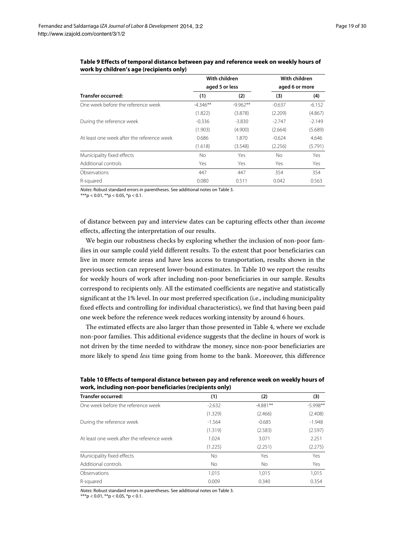|                                            |            | With children  | With children<br>aged 6 or more |          |  |
|--------------------------------------------|------------|----------------|---------------------------------|----------|--|
|                                            |            | aged 5 or less |                                 |          |  |
| Transfer occurred:                         | (1)        | (2)            | (3)                             | (4)      |  |
| One week before the reference week         | $-4.346**$ | $-9.962**$     | $-0.637$                        | $-6.152$ |  |
|                                            | (1.822)    | (3.878)        | (2.209)                         | (4.867)  |  |
| During the reference week                  | $-0.336$   | $-3.830$       | $-2.747$                        | $-2.149$ |  |
|                                            | (1.903)    | (4.900)        | (2.664)                         | (5.689)  |  |
| At least one week after the reference week | 0.686      | 1.870          | $-0.624$                        | 4.646    |  |
|                                            | (1.618)    | (3.548)        | (2.256)                         | (5.791)  |  |
| Municipality fixed effects                 | <b>No</b>  | Yes            | N <sub>o</sub>                  | Yes      |  |
| Additional controls                        | Yes        | Yes            | Yes                             | Yes      |  |
| Observations                               | 447        | 447            | 354                             | 354      |  |
| R-squared                                  | 0.080      | 0.511          | 0.042                           | 0.563    |  |

<span id="page-18-0"></span>

|                                          | Table 9 Effects of temporal distance between pay and reference week on weekly hours of |
|------------------------------------------|----------------------------------------------------------------------------------------|
| work by children's age (recipients only) |                                                                                        |

*Notes*: Robust standard errors in parentheses. See additional notes on Table [3.](#page-14-0)

\*\*\*p < 0.01, \*\*p < 0.05, \*p < 0.1.

of distance between pay and interview dates can be capturing effects other than *income* effects, affecting the interpretation of our results.

We begin our robustness checks by exploring whether the inclusion of non-poor families in our sample could yield different results. To the extent that poor beneficiaries can live in more remote areas and have less access to transportation, results shown in the previous section can represent lower-bound estimates. In Table [10](#page-18-1) we report the results for weekly hours of work after including non-poor beneficiaries in our sample. Results correspond to recipients only. All the estimated coefficients are negative and statistically significant at the 1% level. In our most preferred specification (i.e., including municipality fixed effects and controlling for individual characteristics), we find that having been paid one week before the reference week reduces working intensity by around 6 hours.

The estimated effects are also larger than those presented in Table [4,](#page-14-1) where we exclude non-poor families. This additional evidence suggests that the decline in hours of work is not driven by the time needed to withdraw the money, since non-poor beneficiaries are more likely to spend *less* time going from home to the bank. Moreover, this difference

<span id="page-18-1"></span>**Table 10 Effects of temporal distance between pay and reference week on weekly hours of work, including non-poor beneficiaries (recipients only)**

| Transfer occurred:                         | (1)       | (2)        | (3)        |
|--------------------------------------------|-----------|------------|------------|
| One week before the reference week         | $-2.632$  | $-4.881**$ | $-5.998**$ |
|                                            | (1.329)   | (2.466)    | (2.408)    |
| During the reference week                  | $-1.564$  | $-0.685$   | $-1.948$   |
|                                            | (1.319)   | (2.583)    | (2.597)    |
| At least one week after the reference week | 1.024     | 3.071      | 2.251      |
|                                            | (1.225)   | (2.251)    | (2.275)    |
| Municipality fixed effects                 | <b>No</b> | Yes        | Yes        |
| Additional controls                        | <b>No</b> | No.        | Yes        |
| Observations                               | 1.015     | 1.015      | 1,015      |
| R-squared                                  | 0.009     | 0.340      | 0.354      |

*Notes*: Robust standard errors in parentheses. See additional notes on Table [3.](#page-14-0) \*\*\*p < 0.01, \*\*p < 0.05, \*p < 0.1.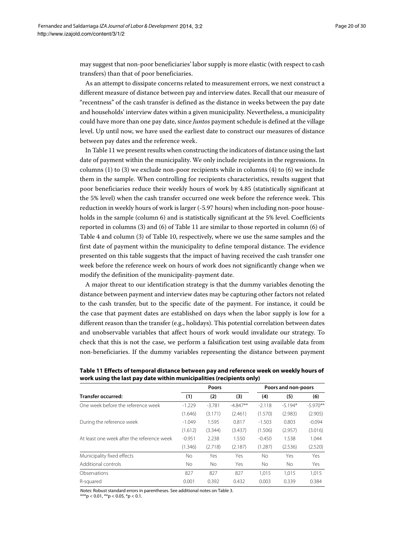may suggest that non-poor beneficiaries' labor supply is more elastic (with respect to cash transfers) than that of poor beneficiaries.

As an attempt to dissipate concerns related to measurement errors, we next construct a different measure of distance between pay and interview dates. Recall that our measure of "recentness" of the cash transfer is defined as the distance in weeks between the pay date and households' interview dates within a given municipality. Nevertheless, a municipality could have more than one pay date, since *Juntos* payment schedule is defined at the village level. Up until now, we have used the earliest date to construct our measures of distance between pay dates and the reference week.

In Table [11](#page-19-0) we present results when constructing the indicators of distance using the last date of payment within the municipality. We only include recipients in the regressions. In columns (1) to (3) we exclude non-poor recipients while in columns (4) to (6) we include them in the sample. When controlling for recipients characteristics, results suggest that poor beneficiaries reduce their weekly hours of work by 4.85 (statistically significant at the 5% level) when the cash transfer occurred one week before the reference week. This reduction in weekly hours of work is larger (-5.97 hours) when including non-poor households in the sample (column 6) and is statistically significant at the 5% level. Coefficients reported in columns (3) and (6) of Table [11](#page-19-0) are similar to those reported in column (6) of Table [4](#page-14-1) and column (3) of Table [10,](#page-18-1) respectively, where we use the same samples and the first date of payment within the municipality to define temporal distance. The evidence presented on this table suggests that the impact of having received the cash transfer one week before the reference week on hours of work does not significantly change when we modify the definition of the municipality-payment date.

A major threat to our identification strategy is that the dummy variables denoting the distance between payment and interview dates may be capturing other factors not related to the cash transfer, but to the specific date of the payment. For instance, it could be the case that payment dates are established on days when the labor supply is low for a different reason than the transfer (e.g., holidays). This potential correlation between dates and unobservable variables that affect hours of work would invalidate our strategy. To check that this is not the case, we perform a falsification test using available data from non-beneficiaries. If the dummy variables representing the distance between payment

|                                            |           | Poors     |            | Poors and non-poors |           |            |  |
|--------------------------------------------|-----------|-----------|------------|---------------------|-----------|------------|--|
| <b>Transfer occurred:</b>                  | (1)       | (2)       | (3)        | (4)                 | (5)       | (6)        |  |
| One week before the reference week         | $-1.229$  | $-3.781$  | $-4.847**$ | $-2.118$            | $-5.194*$ | $-5.970**$ |  |
|                                            | (1.646)   | (3.171)   | (2.461)    | (1.570)             | (2.983)   | (2.905)    |  |
| During the reference week                  | $-1.049$  | 1.595     | 0.817      | $-1.503$            | 0.803     | $-0.094$   |  |
|                                            | (1.612)   | (3.344)   | (3.437)    | (1.506)             | (2.957)   | (3.016)    |  |
| At least one week after the reference week | $-0.951$  | 2.238     | 1.550      | $-0.450$            | 1.538     | 1.044      |  |
|                                            | (1.346)   | (2.718)   | (2.187)    | (1.287)             | (2.536)   | (2.520)    |  |
| Municipality fixed effects                 | <b>No</b> | Yes       | Yes        | <b>No</b>           | Yes       | Yes        |  |
| Additional controls                        | <b>No</b> | <b>No</b> | Yes        | No                  | <b>No</b> | Yes        |  |
| Observations                               | 827       | 827       | 827        | 1.015               | 1.015     | 1,015      |  |
| R-squared                                  | 0.001     | 0.392     | 0.432      | 0.003               | 0.339     | 0.384      |  |

<span id="page-19-0"></span>**Table 11 Effects of temporal distance between pay and reference week on weekly hours of work using the last pay date within municipalities (recipients only)**

*Notes*: Robust standard errors in parentheses. See additional notes on Table [3.](#page-14-0)

\*\*\*p < 0.01, \*\*p < 0.05, \*p < 0.1.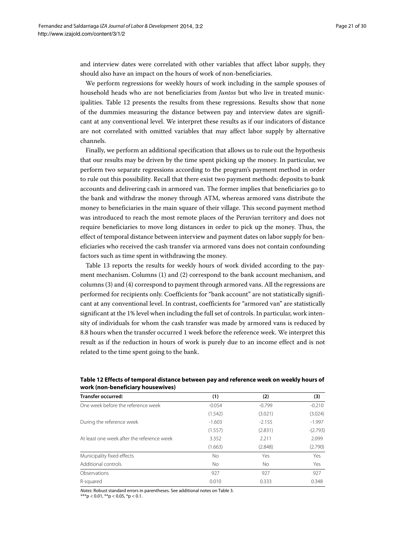and interview dates were correlated with other variables that affect labor supply, they should also have an impact on the hours of work of non-beneficiaries.

We perform regressions for weekly hours of work including in the sample spouses of household heads who are not beneficiaries from *Juntos* but who live in treated municipalities. Table [12](#page-20-0) presents the results from these regressions. Results show that none of the dummies measuring the distance between pay and interview dates are significant at any conventional level. We interpret these results as if our indicators of distance are not correlated with omitted variables that may affect labor supply by alternative channels.

Finally, we perform an additional specification that allows us to rule out the hypothesis that our results may be driven by the time spent picking up the money. In particular, we perform two separate regressions according to the program's payment method in order to rule out this possibility. Recall that there exist two payment methods: deposits to bank accounts and delivering cash in armored van. The former implies that beneficiaries go to the bank and withdraw the money through ATM, whereas armored vans distribute the money to beneficiaries in the main square of their village. This second payment method was introduced to reach the most remote places of the Peruvian territory and does not require beneficiaries to move long distances in order to pick up the money. Thus, the effect of temporal distance between interview and payment dates on labor supply for beneficiaries who received the cash transfer via armored vans does not contain confounding factors such as time spent in withdrawing the money.

Table [13](#page-21-0) reports the results for weekly hours of work divided according to the payment mechanism. Columns (1) and (2) correspond to the bank account mechanism, and columns (3) and (4) correspond to payment through armored vans. All the regressions are performed for recipients only. Coefficients for "bank account" are not statistically significant at any conventional level. In contrast, coefficients for "armored van" are statistically significant at the 1% level when including the full set of controls. In particular, work intensity of individuals for whom the cash transfer was made by armored vans is reduced by 8.8 hours when the transfer occurred 1 week before the reference week. We interpret this result as if the reduction in hours of work is purely due to an income effect and is not related to the time spent going to the bank.

| <b>Transfer occurred:</b>                  | (1)       | (2)       | (3)        |
|--------------------------------------------|-----------|-----------|------------|
| One week before the reference week         | $-0.054$  | $-0.799$  | $-0.210$   |
|                                            | (1.542)   | (3.021)   | (3.024)    |
| During the reference week                  | $-1.603$  | $-2.155$  | $-1.997$   |
|                                            | (1.557)   | (2.831)   | $-(2.793)$ |
| At least one week after the reference week | 3.352     | 2.211     | 2.099      |
|                                            | (1.663)   | (2.848)   | (2.790)    |
| Municipality fixed effects                 | No.       | Yes       | Yes        |
| Additional controls                        | <b>No</b> | <b>No</b> | Yes        |
| Observations                               | 927       | 927       | 927        |
| R-squared                                  | 0.010     | 0.333     | 0.348      |

<span id="page-20-0"></span>**Table 12 Effects of temporal distance between pay and reference week on weekly hours of work (non-beneficiary housewives)**

*Notes*: Robust standard errors in parentheses. See additional notes on Table [3.](#page-14-0) \*\*\*p < 0.01, \*\*p < 0.05, \*p < 0.1.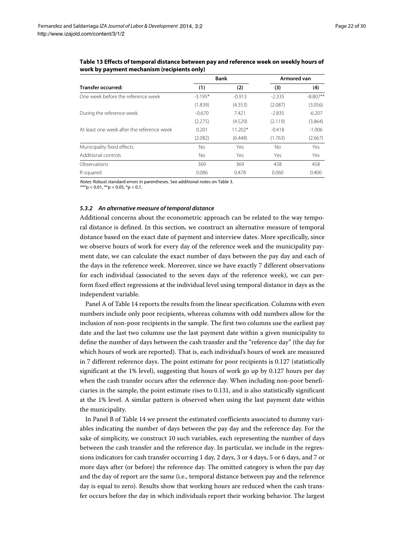| <b>Transfer occurred:</b>                  | <b>Bank</b> |           | Armored van |            |
|--------------------------------------------|-------------|-----------|-------------|------------|
|                                            | (1)         | (2)       | (3)         | (4)        |
| One week before the reference week         | $-3.195*$   | $-0.913$  | $-2.335$    | $-8.807**$ |
|                                            | (1.839)     | (4.353)   | (2.087)     | (3.056)    |
| During the reference week                  | $-0.670$    | 7.421     | $-2.835$    | $-6.207$   |
|                                            | (2.275)     | (4.529)   | (2.119)     | (3.864)    |
| At least one week after the reference week | 0.201       | $11.202*$ | $-0.418$    | $-1.006$   |
|                                            | (2.082)     | (6.448)   | (1.763)     | (2.667)    |
| Municipality fixed effects                 | <b>No</b>   | Yes       | <b>No</b>   | Yes        |
| Additional controls                        | <b>No</b>   | Yes       | Yes         | Yes        |
| Observations                               | 369         | 369       | 458         | 458        |
| R-squared                                  | 0.086       | 0.478     | 0.060       | 0.400      |

<span id="page-21-0"></span>**Table 13 Effects of temporal distance between pay and reference week on weekly hours of work by payment mechanism (recipients only)**

*Notes*: Robust standard errors in parentheses. See additional notes on Table [3.](#page-14-0)

\*\*\*p < 0.01, \*\*p < 0.05, \*p < 0.1.

#### *5.3.2 An alternative measure of temporal distance*

Additional concerns about the econometric approach can be related to the way temporal distance is defined. In this section, we construct an alternative measure of temporal distance based on the exact date of payment and interview dates. More specifically, since we observe hours of work for every day of the reference week and the municipality payment date, we can calculate the exact number of days between the pay day and each of the days in the reference week. Moreover, since we have exactly 7 different observations for each individual (associated to the seven days of the reference week), we can perform fixed effect regressions at the individual level using temporal distance in days as the independent variable.

Panel A of Table [14](#page-22-1) reports the results from the linear specification. Columns with even numbers include only poor recipients, whereas columns with odd numbers allow for the inclusion of non-poor recipients in the sample. The first two columns use the earliest pay date and the last two columns use the last payment date within a given municipality to define the number of days between the cash transfer and the "reference day" (the day for which hours of work are reported). That is, each individual's hours of work are measured in 7 different reference days. The point estimate for poor recipients is 0.127 (statistically significant at the 1% level), suggesting that hours of work go up by 0.127 hours per day when the cash transfer occurs after the reference day. When including non-poor beneficiaries in the sample, the point estimate rises to 0.131, and is also statistically significant at the 1% level. A similar pattern is observed when using the last payment date within the municipality.

In Panel B of Table [14](#page-22-1) we present the estimated coefficients associated to dummy variables indicating the number of days between the pay day and the reference day. For the sake of simplicity, we construct 10 such variables, each representing the number of days between the cash transfer and the reference day. In particular, we include in the regressions indicators for cash transfer occurring 1 day, 2 days, 3 or 4 days, 5 or 6 days, and 7 or more days after (or before) the reference day. The omitted category is when the pay day and the day of report are the same (i.e., temporal distance between pay and the reference day is equal to zero). Results show that working hours are reduced when the cash transfer occurs before the day in which individuals report their working behavior. The largest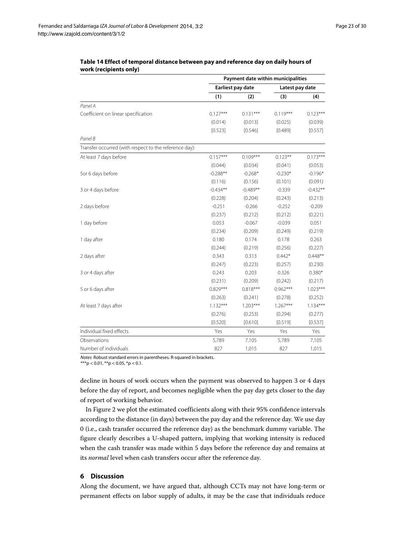|                                                        | Payment date within municipalities |            |                 |            |
|--------------------------------------------------------|------------------------------------|------------|-----------------|------------|
|                                                        | Earliest pay date                  |            | Latest pay date |            |
|                                                        | (1)                                | (2)        | (3)             | (4)        |
| Panel A                                                |                                    |            |                 |            |
| Coefficient on linear specification                    | $0.127***$                         | $0.131***$ | $0.119***$      | $0.123***$ |
|                                                        | (0.014)                            | (0.013)    | (0.025)         | (0.039)    |
|                                                        | [0.523]                            | [0.546]    | [0.489]         | [0.557]    |
| Panel B                                                |                                    |            |                 |            |
| Transfer occurred (with respect to the reference day): |                                    |            |                 |            |
| At least 7 days before                                 | $0.157***$                         | $0.109***$ | $0.123**$       | $0.173***$ |
|                                                        | (0.044)                            | (0.034)    | (0.041)         | (0.053)    |
| 5or 6 days before                                      | $-0.288**$                         | $-0.268*$  | $-0.230*$       | $-0.196*$  |
|                                                        | (0.116)                            | (0.156)    | (0.101)         | (0.091)    |
| 3 or 4 days before                                     | $-0.434**$                         | $-0.489**$ | $-0.339$        | $-0.432**$ |
|                                                        | (0.228)                            | (0.204)    | (0.243)         | (0.213)    |
| 2 days before                                          | $-0.251$                           | $-0.266$   | $-0.252$        | $-0.209$   |
|                                                        | (0.237)                            | (0.212)    | (0.212)         | (0.221)    |
| 1 day before                                           | 0.053                              | $-0.067$   | $-0.039$        | 0.051      |
|                                                        | (0.234)                            | (0.209)    | (0.249)         | (0.219)    |
| 1 day after                                            | 0.180                              | 0.174      | 0.178           | 0.263      |
|                                                        | (0.244)                            | (0.219)    | (0.256)         | (0.227)    |
| 2 days after                                           | 0.343                              | 0.313      | $0.442*$        | $0.448**$  |
|                                                        | (0.247)                            | (0.223)    | (0.257)         | (0.230)    |
| 3 or 4 days after                                      | 0.243                              | 0.203      | 0.326           | $0.380*$   |
|                                                        | (0.231)                            | (0.209)    | (0.242)         | (0.217)    |
| 5 or 6 days after                                      | $0.829***$                         | $0.818***$ | $0.962***$      | $1.023***$ |
|                                                        | (0.263)                            | (0.241)    | (0.278)         | (0.252)    |
| At least 7 days after                                  | $1.132***$                         | $1.203***$ | $1.267***$      | $1.134***$ |
|                                                        | (0.276)                            | (0.253)    | (0.294)         | (0.277)    |
|                                                        | [0.520]                            | [0.610]    | [0.519]         | [0.537]    |
| Individual fixed effects                               | Yes                                | Yes        | Yes             | Yes        |
| Observations                                           | 5,789                              | 7,105      | 5,789           | 7,105      |
| Number of individuals                                  | 827                                | 1,015      | 827             | 1,015      |

#### <span id="page-22-1"></span>**Table 14 Effect of temporal distance between pay and reference day on daily hours of work (recipients only)**

*Notes*: Robust standard errors in parentheses. R-squared in brackets.

\*\*\*p < 0.01, \*\*p < 0.05, \*p < 0.1.

decline in hours of work occurs when the payment was observed to happen 3 or 4 days before the day of report, and becomes negligible when the pay day gets closer to the day of report of working behavior.

In Figure [2](#page-23-0) we plot the estimated coefficients along with their 95% confidence intervals according to the distance (in days) between the pay day and the reference day. We use day 0 (i.e., cash transfer occurred the reference day) as the benchmark dummy variable. The figure clearly describes a U-shaped pattern, implying that working intensity is reduced when the cash transfer was made within 5 days before the reference day and remains at its *normal* level when cash transfers occur after the reference day.

# <span id="page-22-0"></span>**6 Discussion**

Along the document, we have argued that, although CCTs may not have long-term or permanent effects on labor supply of adults, it may be the case that individuals reduce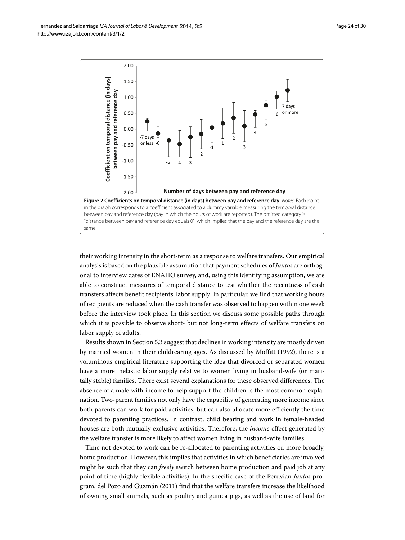Fernandez and Saldarriaga *IZA Journal of Labor & Development* Page 24 of 30 2014, 3:2 <http://www.izajold.com/content/3/1/2>



<span id="page-23-0"></span>their working intensity in the short-term as a response to welfare transfers. Our empirical analysis is based on the plausible assumption that payment schedules of *Juntos* are orthogonal to interview dates of ENAHO survey, and, using this identifying assumption, we are able to construct measures of temporal distance to test whether the recentness of cash transfers affects benefit recipients' labor supply. In particular, we find that working hours of recipients are reduced when the cash transfer was observed to happen within one week before the interview took place. In this section we discuss some possible paths through which it is possible to observe short- but not long-term effects of welfare transfers on labor supply of adults.

Results shown in Section [5.3](#page-17-0) suggest that declines in working intensity are mostly driven by married women in their childrearing ages. As discussed by Moffitt [\(1992\)](#page-29-13), there is a voluminous empirical literature supporting the idea that divorced or separated women have a more inelastic labor supply relative to women living in husband-wife (or maritally stable) families. There exist several explanations for these observed differences. The absence of a male with income to help support the children is the most common explanation. Two-parent families not only have the capability of generating more income since both parents can work for paid activities, but can also allocate more efficiently the time devoted to parenting practices. In contrast, child bearing and work in female-headed houses are both mutually exclusive activities. Therefore, the *income* effect generated by the welfare transfer is more likely to affect women living in husband-wife families.

Time not devoted to work can be re-allocated to parenting activities or, more broadly, home production. However, this implies that activities in which beneficiaries are involved might be such that they can *freely* switch between home production and paid job at any point of time (highly flexible activities). In the specific case of the Peruvian *Juntos* program, del Pozo and Guzmán [\(2011\)](#page-28-13) find that the welfare transfers increase the likelihood of owning small animals, such as poultry and guinea pigs, as well as the use of land for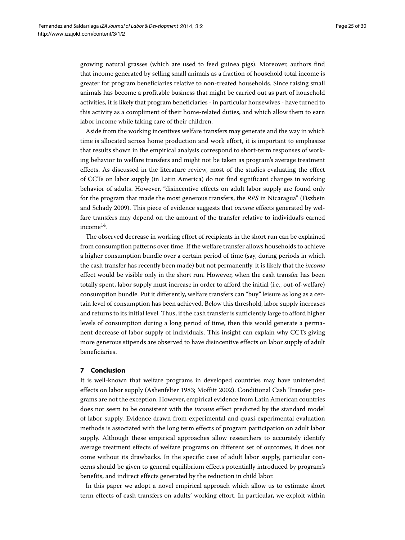growing natural grasses (which are used to feed guinea pigs). Moreover, authors find that income generated by selling small animals as a fraction of household total income is greater for program beneficiaries relative to non-treated households. Since raising small animals has become a profitable business that might be carried out as part of household activities, it is likely that program beneficiaries - in particular housewives - have turned to this activity as a compliment of their home-related duties, and which allow them to earn labor income while taking care of their children.

Aside from the working incentives welfare transfers may generate and the way in which time is allocated across home production and work effort, it is important to emphasize that results shown in the empirical analysis correspond to short-term responses of working behavior to welfare transfers and might not be taken as program's average treatment effects. As discussed in the literature review, most of the studies evaluating the effect of CCTs on labor supply (in Latin America) do not find significant changes in working behavior of adults. However, "disincentive effects on adult labor supply are found only for the program that made the most generous transfers, the *RPS* in Nicaragua" (Fiszbein and Schady [2009\)](#page-28-0). This piece of evidence suggests that *income* effects generated by welfare transfers may depend on the amount of the transfer relative to individual's earned income $^{14}$ .

The observed decrease in working effort of recipients in the short run can be explained from consumption patterns over time. If the welfare transfer allows households to achieve a higher consumption bundle over a certain period of time (say, during periods in which the cash transfer has recently been made) but not permanently, it is likely that the *income* effect would be visible only in the short run. However, when the cash transfer has been totally spent, labor supply must increase in order to afford the initial (i.e., out-of-welfare) consumption bundle. Put it differently, welfare transfers can "buy" leisure as long as a certain level of consumption has been achieved. Below this threshold, labor supply increases and returns to its initial level. Thus, if the cash transfer is sufficiently large to afford higher levels of consumption during a long period of time, then this would generate a permanent decrease of labor supply of individuals. This insight can explain why CCTs giving more generous stipends are observed to have disincentive effects on labor supply of adult beneficiaries.

#### <span id="page-24-0"></span>**7 Conclusion**

It is well-known that welfare programs in developed countries may have unintended effects on labor supply (Ashenfelter [1983;](#page-28-14) Moffitt [2002\)](#page-29-5). Conditional Cash Transfer programs are not the exception. However, empirical evidence from Latin American countries does not seem to be consistent with the *income* effect predicted by the standard model of labor supply. Evidence drawn from experimental and quasi-experimental evaluation methods is associated with the long term effects of program participation on adult labor supply. Although these empirical approaches allow researchers to accurately identify average treatment effects of welfare programs on different set of outcomes, it does not come without its drawbacks. In the specific case of adult labor supply, particular concerns should be given to general equilibrium effects potentially introduced by program's benefits, and indirect effects generated by the reduction in child labor.

In this paper we adopt a novel empirical approach which allow us to estimate short term effects of cash transfers on adults' working effort. In particular, we exploit within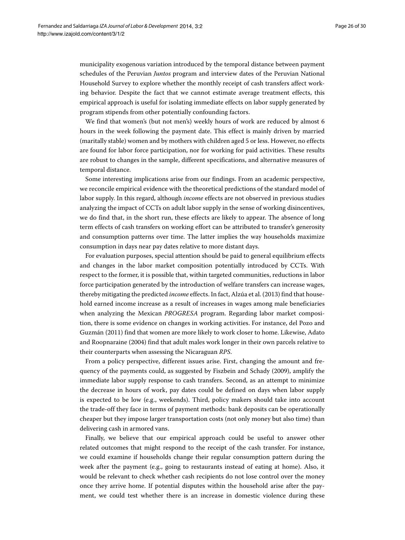municipality exogenous variation introduced by the temporal distance between payment schedules of the Peruvian *Juntos* program and interview dates of the Peruvian National Household Survey to explore whether the monthly receipt of cash transfers affect working behavior. Despite the fact that we cannot estimate average treatment effects, this empirical approach is useful for isolating immediate effects on labor supply generated by program stipends from other potentially confounding factors.

We find that women's (but not men's) weekly hours of work are reduced by almost 6 hours in the week following the payment date. This effect is mainly driven by married (maritally stable) women and by mothers with children aged 5 or less. However, no effects are found for labor force participation, nor for working for paid activities. These results are robust to changes in the sample, different specifications, and alternative measures of temporal distance.

Some interesting implications arise from our findings. From an academic perspective, we reconcile empirical evidence with the theoretical predictions of the standard model of labor supply. In this regard, although *income* effects are not observed in previous studies analyzing the impact of CCTs on adult labor supply in the sense of working disincentives, we do find that, in the short run, these effects are likely to appear. The absence of long term effects of cash transfers on working effort can be attributed to transfer's generosity and consumption patterns over time. The latter implies the way households maximize consumption in days near pay dates relative to more distant days.

For evaluation purposes, special attention should be paid to general equilibrium effects and changes in the labor market composition potentially introduced by CCTs. With respect to the former, it is possible that, within targeted communities, reductions in labor force participation generated by the introduction of welfare transfers can increase wages, thereby mitigating the predicted *income* effects. In fact, Alzúa et al. [\(2013\)](#page-28-6) find that household earned income increase as a result of increases in wages among male beneficiaries when analyzing the Mexican *PROGRESA* program. Regarding labor market composition, there is some evidence on changes in working activities. For instance, del Pozo and Guzmán [\(2011\)](#page-28-13) find that women are more likely to work closer to home. Likewise, Adato and Roopnaraine [\(2004\)](#page-28-15) find that adult males work longer in their own parcels relative to their counterparts when assessing the Nicaraguan *RPS*.

From a policy perspective, different issues arise. First, changing the amount and frequency of the payments could, as suggested by Fiszbein and Schady [\(2009\)](#page-28-0), amplify the immediate labor supply response to cash transfers. Second, as an attempt to minimize the decrease in hours of work, pay dates could be defined on days when labor supply is expected to be low (e.g., weekends). Third, policy makers should take into account the trade-off they face in terms of payment methods: bank deposits can be operationally cheaper but they impose larger transportation costs (not only money but also time) than delivering cash in armored vans.

Finally, we believe that our empirical approach could be useful to answer other related outcomes that might respond to the receipt of the cash transfer. For instance, we could examine if households change their regular consumption pattern during the week after the payment (e.g., going to restaurants instead of eating at home). Also, it would be relevant to check whether cash recipients do not lose control over the money once they arrive home. If potential disputes within the household arise after the payment, we could test whether there is an increase in domestic violence during these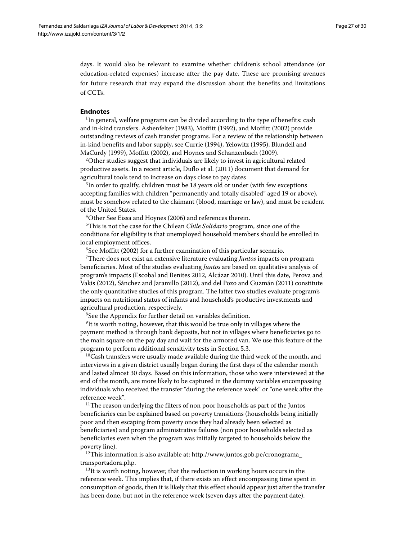days. It would also be relevant to examine whether children's school attendance (or education-related expenses) increase after the pay date. These are promising avenues for future research that may expand the discussion about the benefits and limitations of CCTs.

#### **Endnotes**

<sup>1</sup>In general, welfare programs can be divided according to the type of benefits: cash and in-kind transfers. Ashenfelter [\(1983\)](#page-28-14), Moffitt [\(1992\)](#page-29-13), and Moffitt [\(2002\)](#page-29-5) provide outstanding reviews of cash transfer programs. For a review of the relationship between in-kind benefits and labor supply, see Currie [\(1994\)](#page-28-16), Yelowitz [\(1995\)](#page-29-14), Blundell and MaCurdy [\(1999\)](#page-28-17), Moffitt [\(2002\)](#page-29-5), and Hoynes and Schanzenbach [\(2009\)](#page-28-18).

<sup>2</sup>Other studies suggest that individuals are likely to invest in agricultural related productive assets. In a recent article, Duflo et al. [\(2011\)](#page-28-19) document that demand for agricultural tools tend to increase on days close to pay dates

<sup>3</sup>In order to qualify, children must be 18 years old or under (with few exceptions accepting families with children "permanently and totally disabled" aged 19 or above), must be somehow related to the claimant (blood, marriage or law), and must be resident of the United States.

4Other See Eissa and Hoynes [\(2006\)](#page-28-20) and references therein.

5This is not the case for the Chilean *Chile Solidario* program, since one of the conditions for eligibility is that unemployed household members should be enrolled in local employment offices.

<sup>6</sup>See Moffitt [\(2002\)](#page-29-5) for a further examination of this particular scenario.

7There does not exist an extensive literature evaluating *Juntos* impacts on program beneficiaries. Most of the studies evaluating *Juntos* are based on qualitative analysis of program's impacts (Escobal and Benites [2012,](#page-28-21) Alcázar [2010\)](#page-28-22). Until this date, Perova and Vakis [\(2012\)](#page-29-12), Sánchez and Jaramillo [\(2012\)](#page-29-15), and del Pozo and Guzmán [\(2011\)](#page-28-13) constitute the only quantitative studies of this program. The latter two studies evaluate program's impacts on nutritional status of infants and household's productive investments and agricultural production, respectively.

<sup>8</sup>See the [Appendix](#page-27-0) for further detail on variables definition.

<sup>9</sup>It is worth noting, however, that this would be true only in villages where the payment method is through bank deposits, but not in villages where beneficiaries go to the main square on the pay day and wait for the armored van. We use this feature of the program to perform additional sensitivity tests in Section [5.3.](#page-17-0)

 $10$ Cash transfers were usually made available during the third week of the month, and interviews in a given district usually began during the first days of the calendar month and lasted almost 30 days. Based on this information, those who were interviewed at the end of the month, are more likely to be captured in the dummy variables encompassing individuals who received the transfer "during the reference week" or "one week after the reference week".

<sup>11</sup>The reason underlying the filters of non poor households as part of the Juntos beneficiaries can be explained based on poverty transitions (households being initially poor and then escaping from poverty once they had already been selected as beneficiaries) and program administrative failures (non poor households selected as beneficiaries even when the program was initially targeted to households below the poverty line).

<sup>12</sup>This information is also available at: [http://www.juntos.gob.pe/cronograma\\_](http://www.juntos.gob.pe/cronograma_transportadora.php) [transportadora.php.](http://www.juntos.gob.pe/cronograma_transportadora.php)

 $13$ It is worth noting, however, that the reduction in working hours occurs in the reference week. This implies that, if there exists an effect encompassing time spent in consumption of goods, then it is likely that this effect should appear just after the transfer has been done, but not in the reference week (seven days after the payment date).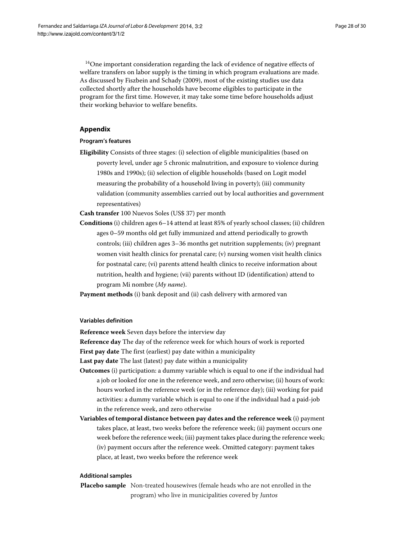<sup>14</sup>One important consideration regarding the lack of evidence of negative effects of welfare transfers on labor supply is the timing in which program evaluations are made. As discussed by Fiszbein and Schady [\(2009\)](#page-28-0), most of the existing studies use data collected shortly after the households have become eligibles to participate in the program for the first time. However, it may take some time before households adjust their working behavior to welfare benefits.

# <span id="page-27-0"></span>**Appendix**

# **Program's features**

**Eligibility** Consists of three stages: (i) selection of eligible municipalities (based on poverty level, under age 5 chronic malnutrition, and exposure to violence during 1980s and 1990s); (ii) selection of eligible households (based on Logit model measuring the probability of a household living in poverty); (iii) community validation (community assemblies carried out by local authorities and government representatives)

**Cash transfer** 100 Nuevos Soles (US\$ 37) per month

**Conditions** (i) children ages 6–14 attend at least 85% of yearly school classes; (ii) children ages 0–59 months old get fully immunized and attend periodically to growth controls; (iii) children ages 3–36 months get nutrition supplements; (iv) pregnant women visit health clinics for prenatal care; (v) nursing women visit health clinics for postnatal care; (vi) parents attend health clinics to receive information about nutrition, health and hygiene; (vii) parents without ID (identification) attend to program Mi nombre (*My name*).

**Payment methods** (i) bank deposit and (ii) cash delivery with armored van

#### **Variables definition**

**Reference week** Seven days before the interview day

**Reference day** The day of the reference week for which hours of work is reported

**First pay date** The first (earliest) pay date within a municipality

**Last pay date** The last (latest) pay date within a municipality

**Outcomes** (i) participation: a dummy variable which is equal to one if the individual had a job or looked for one in the reference week, and zero otherwise; (ii) hours of work: hours worked in the reference week (or in the reference day); (iii) working for paid activities: a dummy variable which is equal to one if the individual had a paid-job in the reference week, and zero otherwise

**Variables of temporal distance between pay dates and the reference week** (i) payment takes place, at least, two weeks before the reference week; (ii) payment occurs one week before the reference week; (iii) payment takes place during the reference week; (iv) payment occurs after the reference week. Omitted category: payment takes place, at least, two weeks before the reference week

#### **Additional samples**

**Placebo sample** Non-treated housewives (female heads who are not enrolled in the program) who live in municipalities covered by Juntos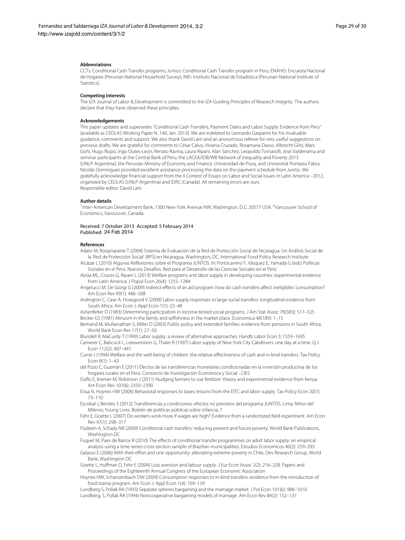#### **Abbreviations**

CCTs: Conditional Cash Transfer programs; Juntos: Conditional Cash Transfer program in Peru; ENAHO: Encuesta Nacional de Hogares (Peruvian National Household Survey); INEI: Instituto Nacional de Estadistica (Peruvian National Institute of Statistics).

#### **Competing interests**

The IZA Journal of Labor & Development is committed to the IZA Guiding Principles of Research Integrity. The authors declare that they have observed these principles.

#### **Acknowledgements**

This paper updates and supersedes "Conditional Cash Transfers, Payment Dates and Labor Supply: Evidence from Peru" (available as CEDLAS Working Paper N. 140, Jan. 2013). We are indebted to Leonardo Gasparini for his invaluable guidance, comments and support. We also thank David Lam and an anonymous referee for very useful suggestions on previous drafts. We are grateful for comments to César Calvo, Viviana Cruzado, Rosamaria Dasso, Albrecht Glitz, Marc Goñi, Hugo Ñopo, Ingo Outes-Leon, Renato Ravina, Laura Ripani, Alan Sánchez, Leopoldo Tornarolli, José Valderrama and seminar participants at the Central Bank of Peru, the LACEA/IDB/WB Network of Inequality and Poverty 2013 (UNLP-Argentina), the Peruvian Ministry of Economy and Finance, Universidad de Piura, and Universitat Pompeu Fabra. Nicolás Dominguez provided excellent assistance processing the data on the payment schedule from Juntos. We gratefully acknowledge financial support from the II Contest of Essays on Labor and Social Issues in Latin America - 2012, organized by CEDLAS (UNLP-Argentina) and IDRC (Canada). All remaining errors are ours. Responsible editor: David Lam

#### **Author details**

<sup>1</sup> Inter-American Development Bank, 1300 New York Avenue NW, Washington, D.C. 20577 USA. <sup>2</sup>Vancouver School of Economics, Vancouver, Canada.

#### Received: 7 October 2013 Accepted: 5 February 2014 Published: 24 Feb 2014

#### **References**

<span id="page-28-15"></span>Adato M, Roopnaraine T (2004) Sistema de Evaluación de la Red de Protección Social de Nicaragua: Un Análisis Social de la 'Red de Protección Social' (RPS) en Nicaragua. Washington, DC, International Food Policy Research Institute

- <span id="page-28-22"></span>Alcázar L (2010) Algunas Reflexiones sobre el Programa JUNTOS. In: Portocarrero F, Vásquez E, Yamada G (eds) Politicas Sociales en el Perú: Nuevos Desafíos. Red para el Desarrollo de las Ciencias Sociales en el Perú
- <span id="page-28-6"></span>Alzúa ML, Cruces G, Ripani L (2013) Welfare programs and labor supply in developing countries: experimental evidence from Latin America. J Popul Econ 26(4): 1255–1284
- <span id="page-28-7"></span>Angelucci M, De Giorgi G (2009) Indirect effects of an aid program: how do cash transfers affect ineligibles' consumption? Am Econ Rev 99(1): 486–508
- <span id="page-28-12"></span>Ardington C, Case A, Hosegood V (2009) Labor supply responses to large social transfers: longitudinal evidence from South Africa. Am Econ J: Appl Econ 1(1): 22–48
- <span id="page-28-14"></span>Ashenfelter O (1983) Determining participation in income-tested social programs. J Am Stat Assoc 78(383): 517–525 Becker GS (1981) Altruism in the family and selfishness in the market place. Economica 48(189): 1–15

<span id="page-28-11"></span><span id="page-28-8"></span>Bertrand M, Mullainathan S, Miller D (2003) Public policy and extended families: evidence from pensions in South Africa. World Bank Econ Rev 17(1): 27–50

- <span id="page-28-17"></span>Blundell R, MaCurdy T (1999) Labor supply: a review of alternative approaches. Handb Labor Econ 3: 1559–1695 Camerer C, Babcock L, Loewenstein G, Thaler R (1997) Labor supply of New York City Cabdrivers: one day at a time. Q J
- <span id="page-28-3"></span>Econ 112(2): 407–441 Currie J (1994) Welfare and the well-being of children: the relative effectiveness of cash and in-kind transfers. Tax Policy
- <span id="page-28-16"></span>Econ 8(1): 1–43
- <span id="page-28-13"></span>del Pozo C, Guzmán E (2011) Efectos de las transferencias monetarias condicionadas en la inversión productiva de los hogares rurales en el Perú. Consorcio de Investigación Económica y Social - CIES
- <span id="page-28-19"></span>Duflo E, Kremer M, Robinson J (2011) Nudging farmers to use fertilizer: theory and experimental evidence from Kenya. Am Econ Rev 101(6): 2350–2390
- <span id="page-28-20"></span>Eissa N, Hoynes HW (2006) Behavioral responses to taxes: lessons from the EITC and labor supply. Tax Policy Econ 20(1): 73–110
- <span id="page-28-21"></span>Escobal J, Benites S (2012) Transferencias y condiciones: efectos no previstos del programa JUNTOS. Lima: Niños del Milenio; Young Lives. Boletín de políticas públicas sobre infancia, 7
- <span id="page-28-4"></span>Fehr E, Goette L (2007) Do workers work more if wages are high? Evidence from a randomized field experiment. Am Econ Rev 97(1): 298–317
- <span id="page-28-0"></span>Fiszbein A, Schady NR (2009) Conditional cash transfers: reducing present and future poverty. World Bank Publications, Washington DC
- <span id="page-28-2"></span>Foguel M, Paes de Barros R (2010) The effects of conditional transfer programmes on adult labor supply: an empirical analysis using a time-series-cross-section sample of Brazilian municipalities. Estudios Economicos 40(2): 259–293
- <span id="page-28-1"></span>Galasso E (2006) With their effort and one opportunity: alleviating extreme poverty in Chile. Dev Research Group, World Bank, Washington DC
- <span id="page-28-5"></span>Goette L, Huffman D, Fehr E (2004) Loss aversion and labour supply. J Eur Econ Assoc 2(2): 216–228. Papers and Proceedings of the Eighteenth Annual Congress of the European Economic Association
- <span id="page-28-18"></span>Hoynes HW, Schanzenbach DW (2009) Consumption responses to in-kind transfers: evidence from the introduction of food stamp program. Am Econ J: Appl Econ 1(4): 109–139

<span id="page-28-10"></span><span id="page-28-9"></span>Lundberg S, Pollak RA (1993) Separate spheres bargaining and the marriage market. J Pol Econ 101(6): 988–1010 Lundberg, S, Pollak RA (1994) Noncooperative bargaining models of marriage. Am Econ Rev 84(2): 132–137